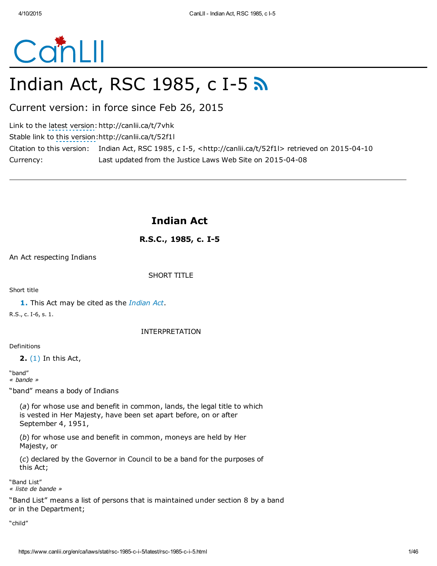# CanLII

# Indian Act, RSC 1985, c I-5 ล

Current version: in force since Feb 26, 2015

Link to the latest version: http://canlii.ca/t/7vhk Stable link to this version:http://canlii.ca/t/52f1l Citation to this version: Indian Act, RSC 1985, c I-5, <http://canlii.ca/t/52f1l> retrieved on 2015-04-10 Currency: Last updated from the [Justice](http://laws.justice.gc.ca/) Laws Web Site on 2015-04-08

# Indian Act

R.S.C., 1985, c. I-5

An Act respecting Indians

SHORT TITLE

Short title

1. This Act may be cited as the *[Indian](https://www.canlii.org/en/ca/laws/stat/rsc-1985-c-i-5/latest/rsc-1985-c-i-5.html) Act*. R.S., c. I-6, s. 1.

INTERPRETATION

Definitions

2. (1) In this Act,

"band"

*« bande »*

"band" means a body of Indians

(*a*) for whose use and benefit in common, lands, the legal title to which is vested in Her Majesty, have been set apart before, on or after September 4, 1951,

(*b*) for whose use and benefit in common, moneys are held by Her Majesty, or

(*c*) declared by the Governor in Council to be a band for the purposes of this Act;

"Band List"

*« liste de bande »*

"Band List" means a list of persons that is maintained under section 8 by a band or in the Department;

"child"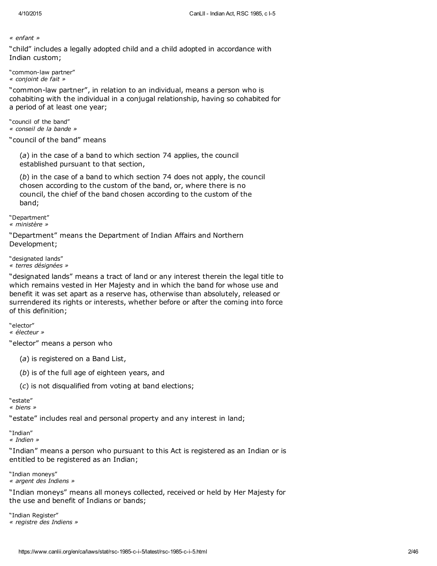*« enfant »*

"child" includes a legally adopted child and a child adopted in accordance with Indian custom;

"common-law partner" *« conjoint de fait »*

"common-law partner", in relation to an individual, means a person who is cohabiting with the individual in a conjugal relationship, having so cohabited for a period of at least one year;

"council of the band" *« conseil de la bande »*

"council of the band" means

(*a*) in the case of a band to which section 74 applies, the council established pursuant to that section,

(*b*) in the case of a band to which section 74 does not apply, the council chosen according to the custom of the band, or, where there is no council, the chief of the band chosen according to the custom of the band;

"Department"

*« ministère »*

"Department" means the Department of Indian Affairs and Northern Development;

"designated lands" *« terres désignées »*

"designated lands" means a tract of land or any interest therein the legal title to which remains vested in Her Majesty and in which the band for whose use and benefit it was set apart as a reserve has, otherwise than absolutely, released or surrendered its rights or interests, whether before or after the coming into force of this definition;

"elector" *« électeur »*

"elector" means a person who

(*a*) is registered on a Band List,

(*b*) is of the full age of eighteen years, and

(*c*) is not disqualified from voting at band elections;

"estate"

*« biens »*

"estate" includes real and personal property and any interest in land;

"Indian" *« Indien »*

"Indian" means a person who pursuant to this Act is registered as an Indian or is entitled to be registered as an Indian;

"Indian moneys"

*« argent des Indiens »*

"Indian moneys" means all moneys collected, received or held by Her Majesty for the use and benefit of Indians or bands;

"Indian Register" *« registre des Indiens »*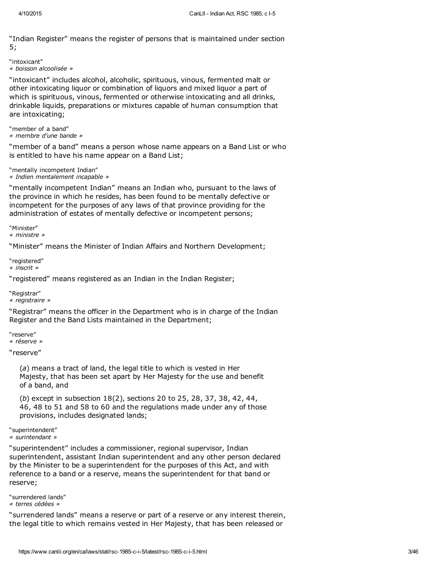"Indian Register" means the register of persons that is maintained under section 5;

"intoxicant" *« boisson alcoolisée »*

"intoxicant" includes alcohol, alcoholic, spirituous, vinous, fermented malt or other intoxicating liquor or combination of liquors and mixed liquor a part of which is spirituous, vinous, fermented or otherwise intoxicating and all drinks, drinkable liquids, preparations or mixtures capable of human consumption that are intoxicating;

"member of a band" *« membre d'une bande »*

"member of a band" means a person whose name appears on a Band List or who is entitled to have his name appear on a Band List;

"mentally incompetent Indian" *« Indien mentalement incapable »*

"mentally incompetent Indian" means an Indian who, pursuant to the laws of the province in which he resides, has been found to be mentally defective or incompetent for the purposes of any laws of that province providing for the administration of estates of mentally defective or incompetent persons;

"Minister"

*« ministre »*

"Minister" means the Minister of Indian Affairs and Northern Development;

"registered"

*« inscrit »*

"registered" means registered as an Indian in the Indian Register;

"Registrar" *« registraire »*

"Registrar" means the officer in the Department who is in charge of the Indian Register and the Band Lists maintained in the Department;

"reserve" *« réserve »*

"reserve"

(*a*) means a tract of land, the legal title to which is vested in Her Majesty, that has been set apart by Her Majesty for the use and benefit of a band, and

(*b*) except in subsection 18(2), sections 20 to 25, 28, 37, 38, 42, 44, 46, 48 to 51 and 58 to 60 and the regulations made under any of those provisions, includes designated lands;

"superintendent" *« surintendant »*

"superintendent" includes a commissioner, regional supervisor, Indian superintendent, assistant Indian superintendent and any other person declared by the Minister to be a superintendent for the purposes of this Act, and with reference to a band or a reserve, means the superintendent for that band or reserve;

"surrendered lands" *« terres cédées »*

"surrendered lands" means a reserve or part of a reserve or any interest therein, the legal title to which remains vested in Her Majesty, that has been released or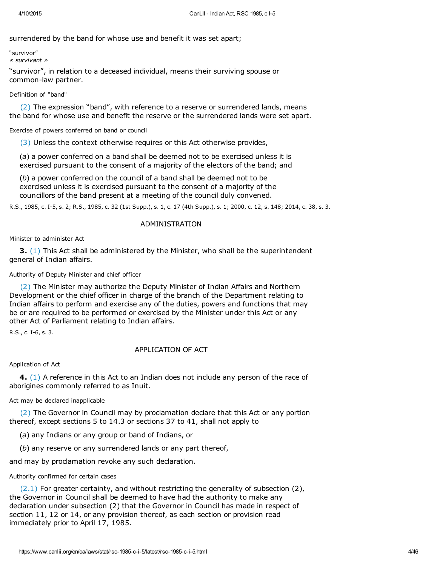surrendered by the band for whose use and benefit it was set apart;

"survivor" *« survivant »*

"survivor", in relation to a deceased individual, means their surviving spouse or common-law partner.

# Definition of "band"

(2) The expression "band", with reference to a reserve or surrendered lands, means the band for whose use and benefit the reserve or the surrendered lands were set apart.

Exercise of powers conferred on band or council

(3) Unless the context otherwise requires or this Act otherwise provides,

(*a*) a power conferred on a band shall be deemed not to be exercised unless it is exercised pursuant to the consent of a majority of the electors of the band; and

(*b*) a power conferred on the council of a band shall be deemed not to be exercised unless it is exercised pursuant to the consent of a majority of the councillors of the band present at a meeting of the council duly convened.

R.S., 1985, c. I-5, s. 2; R.S., 1985, c. 32 (1st Supp.), s. 1, c. 17 (4th Supp.), s. 1; 2000, c. 12, s. 148; 2014, c. 38, s. 3.

# ADMINISTRATION

Minister to administer Act

**3.** (1) This Act shall be administered by the Minister, who shall be the superintendent general of Indian affairs.

Authority of Deputy Minister and chief officer

(2) The Minister may authorize the Deputy Minister of Indian Affairs and Northern Development or the chief officer in charge of the branch of the Department relating to Indian affairs to perform and exercise any of the duties, powers and functions that may be or are required to be performed or exercised by the Minister under this Act or any other Act of Parliament relating to Indian affairs.

R.S., c. I-6, s. 3.

# APPLICATION OF ACT

Application of Act

**4.**  $(1)$  A reference in this Act to an Indian does not include any person of the race of aborigines commonly referred to as Inuit.

Act may be declared inapplicable

(2) The Governor in Council may by proclamation declare that this Act or any portion thereof, except sections 5 to 14.3 or sections 37 to 41, shall not apply to

(*a*) any Indians or any group or band of Indians, or

(*b*) any reserve or any surrendered lands or any part thereof,

and may by proclamation revoke any such declaration.

# Authority confirmed for certain cases

 $(2.1)$  For greater certainty, and without restricting the generality of subsection  $(2)$ , the Governor in Council shall be deemed to have had the authority to make any declaration under subsection (2) that the Governor in Council has made in respect of section 11, 12 or 14, or any provision thereof, as each section or provision read immediately prior to April 17, 1985.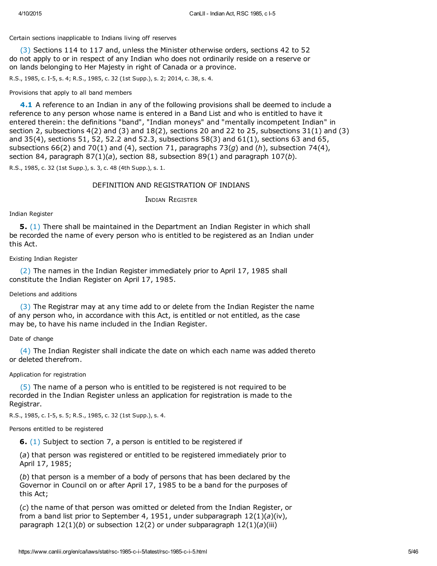Certain sections inapplicable to Indians living off reserves

(3) Sections 114 to 117 and, unless the Minister otherwise orders, sections 42 to 52 do not apply to or in respect of any Indian who does not ordinarily reside on a reserve or on lands belonging to Her Majesty in right of Canada or a province.

R.S., 1985, c. I-5, s. 4; R.S., 1985, c. 32 (1st Supp.), s. 2; 2014, c. 38, s. 4.

Provisions that apply to all band members

**4.1** A reference to an Indian in any of the following provisions shall be deemed to include a reference to any person whose name is entered in a Band List and who is entitled to have it entered therein: the definitions "band", "Indian moneys" and "mentally incompetent Indian" in section 2, subsections 4(2) and (3) and 18(2), sections 20 and 22 to 25, subsections 31(1) and (3) and 35(4), sections 51, 52, 52.2 and 52.3, subsections 58(3) and 61(1), sections 63 and 65, subsections 66(2) and 70(1) and (4), section 71, paragraphs 73(*g*) and (*h*), subsection 74(4), section 84, paragraph 87(1)(*a*), section 88, subsection 89(1) and paragraph 107(*b*).

R.S., 1985, c. 32 (1st Supp.), s. 3, c. 48 (4th Supp.), s. 1.

# DEFINITION AND REGISTRATION OF INDIANS

#### INDIAN REGISTER

#### Indian Register

5. (1) There shall be maintained in the Department an Indian Register in which shall be recorded the name of every person who is entitled to be registered as an Indian under this Act.

#### Existing Indian Register

(2) The names in the Indian Register immediately prior to April 17, 1985 shall constitute the Indian Register on April 17, 1985.

# Deletions and additions

(3) The Registrar may at any time add to or delete from the Indian Register the name of any person who, in accordance with this Act, is entitled or not entitled, as the case may be, to have his name included in the Indian Register.

#### Date of change

(4) The Indian Register shall indicate the date on which each name was added thereto or deleted therefrom.

#### Application for registration

(5) The name of a person who is entitled to be registered is not required to be recorded in the Indian Register unless an application for registration is made to the Registrar.

R.S., 1985, c. I-5, s. 5; R.S., 1985, c. 32 (1st Supp.), s. 4.

# Persons entitled to be registered

6. (1) Subject to section 7, a person is entitled to be registered if

(*a*) that person was registered or entitled to be registered immediately prior to April 17, 1985;

(*b*) that person is a member of a body of persons that has been declared by the Governor in Council on or after April 17, 1985 to be a band for the purposes of this Act;

(*c*) the name of that person was omitted or deleted from the Indian Register, or from a band list prior to September 4, 1951, under subparagraph 12(1)(*a*)(iv), paragraph 12(1)(*b*) or subsection 12(2) or under subparagraph 12(1)(*a*)(iii)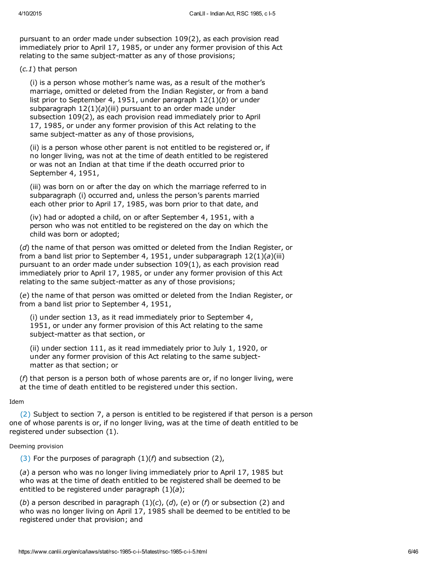pursuant to an order made under subsection 109(2), as each provision read immediately prior to April 17, 1985, or under any former provision of this Act relating to the same subject-matter as any of those provisions;

# (*c.1*) that person

(i) is a person whose mother's name was, as a result of the mother's marriage, omitted or deleted from the Indian Register, or from a band list prior to September 4, 1951, under paragraph 12(1)(*b*) or under subparagraph 12(1)(*a*)(iii) pursuant to an order made under subsection 109(2), as each provision read immediately prior to April 17, 1985, or under any former provision of this Act relating to the same subject-matter as any of those provisions,

(ii) is a person whose other parent is not entitled to be registered or, if no longer living, was not at the time of death entitled to be registered or was not an Indian at that time if the death occurred prior to September 4, 1951,

(iii) was born on or after the day on which the marriage referred to in subparagraph (i) occurred and, unless the person's parents married each other prior to April 17, 1985, was born prior to that date, and

(iv) had or adopted a child, on or after September 4, 1951, with a person who was not entitled to be registered on the day on which the child was born or adopted;

(*d*) the name of that person was omitted or deleted from the Indian Register, or from a band list prior to September 4, 1951, under subparagraph 12(1)(*a*)(iii) pursuant to an order made under subsection 109(1), as each provision read immediately prior to April 17, 1985, or under any former provision of this Act relating to the same subject-matter as any of those provisions;

(*e*) the name of that person was omitted or deleted from the Indian Register, or from a band list prior to September 4, 1951,

(i) under section 13, as it read immediately prior to September 4, 1951, or under any former provision of this Act relating to the same subject-matter as that section, or

(ii) under section 111, as it read immediately prior to July 1, 1920, or under any former provision of this Act relating to the same subjectmatter as that section; or

(*f*) that person is a person both of whose parents are or, if no longer living, were at the time of death entitled to be registered under this section.

# Idem

(2) Subject to section 7, a person is entitled to be registered if that person is a person one of whose parents is or, if no longer living, was at the time of death entitled to be registered under subsection (1).

#### Deeming provision

(3) For the purposes of paragraph (1)(*f*) and subsection (2),

(*a*) a person who was no longer living immediately prior to April 17, 1985 but who was at the time of death entitled to be registered shall be deemed to be entitled to be registered under paragraph (1)(*a*);

(*b*) a person described in paragraph (1)(*c*), (*d*), (*e*) or (*f*) or subsection (2) and who was no longer living on April 17, 1985 shall be deemed to be entitled to be registered under that provision; and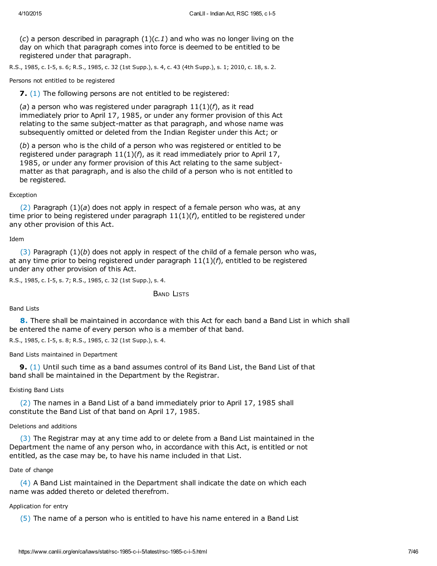(*c*) a person described in paragraph (1)(*c.1*) and who was no longer living on the day on which that paragraph comes into force is deemed to be entitled to be registered under that paragraph.

R.S., 1985, c. I5, s. 6; R.S., 1985, c. 32 (1st Supp.), s. 4, c. 43 (4th Supp.), s. 1; 2010, c. 18, s. 2.

Persons not entitled to be registered

7. (1) The following persons are not entitled to be registered:

(*a*) a person who was registered under paragraph  $11(1)(f)$ , as it read immediately prior to April 17, 1985, or under any former provision of this Act relating to the same subject-matter as that paragraph, and whose name was subsequently omitted or deleted from the Indian Register under this Act; or

(*b*) a person who is the child of a person who was registered or entitled to be registered under paragraph 11(1)(*f*), as it read immediately prior to April 17, 1985, or under any former provision of this Act relating to the same subjectmatter as that paragraph, and is also the child of a person who is not entitled to be registered.

#### Exception

(2) Paragraph (1)(*a*) does not apply in respect of a female person who was, at any time prior to being registered under paragraph 11(1)(*f*), entitled to be registered under any other provision of this Act.

# Idem

(3) Paragraph (1)(*b*) does not apply in respect of the child of a female person who was, at any time prior to being registered under paragraph 11(1)(*f*), entitled to be registered under any other provision of this Act.

R.S., 1985, c. I-5, s. 7; R.S., 1985, c. 32 (1st Supp.), s. 4.

BAND LISTS

#### Band Lists

8. There shall be maintained in accordance with this Act for each band a Band List in which shall be entered the name of every person who is a member of that band.

R.S., 1985, c. I-5, s. 8; R.S., 1985, c. 32 (1st Supp.), s. 4.

Band Lists maintained in Department

9. (1) Until such time as a band assumes control of its Band List, the Band List of that band shall be maintained in the Department by the Registrar.

Existing Band Lists

(2) The names in a Band List of a band immediately prior to April 17, 1985 shall constitute the Band List of that band on April 17, 1985.

# Deletions and additions

(3) The Registrar may at any time add to or delete from a Band List maintained in the Department the name of any person who, in accordance with this Act, is entitled or not entitled, as the case may be, to have his name included in that List.

# Date of change

(4) A Band List maintained in the Department shall indicate the date on which each name was added thereto or deleted therefrom.

# Application for entry

(5) The name of a person who is entitled to have his name entered in a Band List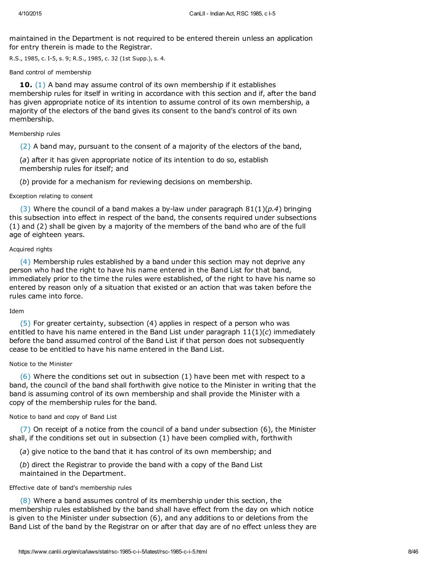maintained in the Department is not required to be entered therein unless an application for entry therein is made to the Registrar.

R.S., 1985, c. I-5, s. 9; R.S., 1985, c. 32 (1st Supp.), s. 4.

# Band control of membership

**10.** (1) A band may assume control of its own membership if it establishes membership rules for itself in writing in accordance with this section and if, after the band has given appropriate notice of its intention to assume control of its own membership, a majority of the electors of the band gives its consent to the band's control of its own membership.

# Membership rules

(2) A band may, pursuant to the consent of a majority of the electors of the band,

(*a*) after it has given appropriate notice of its intention to do so, establish membership rules for itself; and

(*b*) provide for a mechanism for reviewing decisions on membership.

# Exception relating to consent

(3) Where the council of a band makes a by-law under paragraph  $81(1)(p.4)$  bringing this subsection into effect in respect of the band, the consents required under subsections (1) and (2) shall be given by a majority of the members of the band who are of the full age of eighteen years.

# Acquired rights

(4) Membership rules established by a band under this section may not deprive any person who had the right to have his name entered in the Band List for that band, immediately prior to the time the rules were established, of the right to have his name so entered by reason only of a situation that existed or an action that was taken before the rules came into force.

#### Idem

(5) For greater certainty, subsection (4) applies in respect of a person who was entitled to have his name entered in the Band List under paragraph 11(1)(*c*) immediately before the band assumed control of the Band List if that person does not subsequently cease to be entitled to have his name entered in the Band List.

#### Notice to the Minister

(6) Where the conditions set out in subsection (1) have been met with respect to a band, the council of the band shall forthwith give notice to the Minister in writing that the band is assuming control of its own membership and shall provide the Minister with a copy of the membership rules for the band.

# Notice to band and copy of Band List

 $(7)$  On receipt of a notice from the council of a band under subsection (6), the Minister shall, if the conditions set out in subsection (1) have been complied with, forthwith

(*a*) give notice to the band that it has control of its own membership; and

(*b*) direct the Registrar to provide the band with a copy of the Band List maintained in the Department.

# Effective date of band's membership rules

(8) Where a band assumes control of its membership under this section, the membership rules established by the band shall have effect from the day on which notice is given to the Minister under subsection (6), and any additions to or deletions from the Band List of the band by the Registrar on or after that day are of no effect unless they are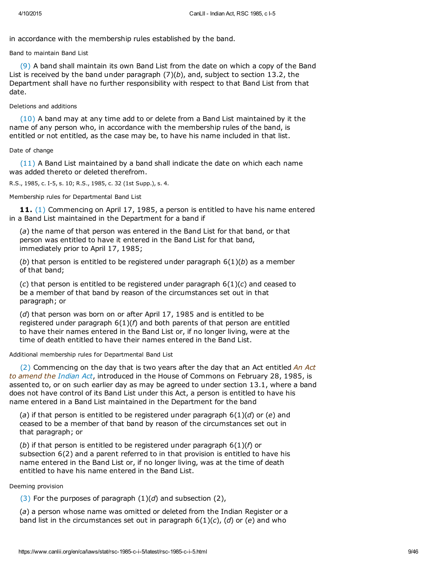in accordance with the membership rules established by the band.

# Band to maintain Band List

(9) A band shall maintain its own Band List from the date on which a copy of the Band List is received by the band under paragraph  $(7)(b)$ , and, subject to section 13.2, the Department shall have no further responsibility with respect to that Band List from that date.

# Deletions and additions

(10) A band may at any time add to or delete from a Band List maintained by it the name of any person who, in accordance with the membership rules of the band, is entitled or not entitled, as the case may be, to have his name included in that list.

# Date of change

 $(11)$  A Band List maintained by a band shall indicate the date on which each name was added thereto or deleted therefrom.

R.S., 1985, c. I5, s. 10; R.S., 1985, c. 32 (1st Supp.), s. 4.

Membership rules for Departmental Band List

11. (1) Commencing on April 17, 1985, a person is entitled to have his name entered in a Band List maintained in the Department for a band if

(*a*) the name of that person was entered in the Band List for that band, or that person was entitled to have it entered in the Band List for that band, immediately prior to April 17, 1985;

(*b*) that person is entitled to be registered under paragraph 6(1)(*b*) as a member of that band;

(*c*) that person is entitled to be registered under paragraph 6(1)(*c*) and ceased to be a member of that band by reason of the circumstances set out in that paragraph; or

(*d*) that person was born on or after April 17, 1985 and is entitled to be registered under paragraph 6(1)(*f*) and both parents of that person are entitled to have their names entered in the Band List or, if no longer living, were at the time of death entitled to have their names entered in the Band List.

Additional membership rules for Departmental Band List

(2) Commencing on the day that is two years after the day that an Act entitled *An Act to amend the [Indian](https://www.canlii.org/en/ca/laws/stat/rsc-1985-c-i-5/latest/rsc-1985-c-i-5.html) Act*, introduced in the House of Commons on February 28, 1985, is assented to, or on such earlier day as may be agreed to under section 13.1, where a band does not have control of its Band List under this Act, a person is entitled to have his name entered in a Band List maintained in the Department for the band

(*a*) if that person is entitled to be registered under paragraph 6(1)(*d*) or (*e*) and ceased to be a member of that band by reason of the circumstances set out in that paragraph; or

(*b*) if that person is entitled to be registered under paragraph 6(1)(*f*) or subsection 6(2) and a parent referred to in that provision is entitled to have his name entered in the Band List or, if no longer living, was at the time of death entitled to have his name entered in the Band List.

Deeming provision

(3) For the purposes of paragraph (1)(*d*) and subsection (2),

(*a*) a person whose name was omitted or deleted from the Indian Register or a band list in the circumstances set out in paragraph 6(1)(*c*), (*d*) or (*e*) and who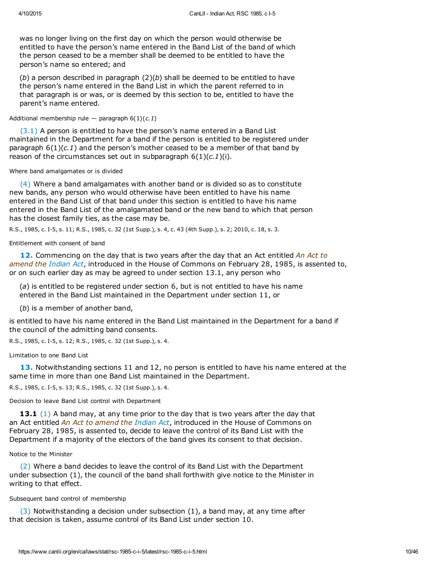was no longer living on the first day on which the person would otherwise be entitled to have the person's name entered in the Band List of the band of which the person ceased to be a member shall be deemed to be entitled to have the person's name so entered; and

(*b*) a person described in paragraph (2)(*b*) shall be deemed to be entitled to have the person's name entered in the Band List in which the parent referred to in that paragraph is or was, or is deemed by this section to be, entitled to have the parent's name entered.

Additional membership rule — paragraph 6(1)(*c.1*)

(3.1) A person is entitled to have the person's name entered in a Band List maintained in the Department for a band if the person is entitled to be registered under paragraph 6(1)(*c.1*) and the person's mother ceased to be a member of that band by reason of the circumstances set out in subparagraph 6(1)(*c.1*)(i).

Where band amalgamates or is divided

(4) Where a band amalgamates with another band or is divided so as to constitute new bands, any person who would otherwise have been entitled to have his name entered in the Band List of that band under this section is entitled to have his name entered in the Band List of the amalgamated band or the new band to which that person has the closest family ties, as the case may be.

R.S., 1985, c. I5, s. 11; R.S., 1985, c. 32 (1st Supp.), s. 4, c. 43 (4th Supp.), s. 2; 2010, c. 18, s. 3.

Entitlement with consent of band

12. Commencing on the day that is two years after the day that an Act entitled *An Act to amend the [Indian](https://www.canlii.org/en/ca/laws/stat/rsc-1985-c-i-5/latest/rsc-1985-c-i-5.html) Act*, introduced in the House of Commons on February 28, 1985, is assented to, or on such earlier day as may be agreed to under section 13.1, any person who

(*a*) is entitled to be registered under section 6, but is not entitled to have his name entered in the Band List maintained in the Department under section 11, or

(*b*) is a member of another band,

is entitled to have his name entered in the Band List maintained in the Department for a band if the council of the admitting band consents.

R.S., 1985, c. I5, s. 12; R.S., 1985, c. 32 (1st Supp.), s. 4.

#### Limitation to one Band List

13. Notwithstanding sections 11 and 12, no person is entitled to have his name entered at the same time in more than one Band List maintained in the Department.

R.S., 1985, c. I-5, s. 13; R.S., 1985, c. 32 (1st Supp.), s. 4.

Decision to leave Band List control with Department

**13.1** (1) A band may, at any time prior to the day that is two years after the day that an Act entitled *An Act to amend the [Indian](https://www.canlii.org/en/ca/laws/stat/rsc-1985-c-i-5/latest/rsc-1985-c-i-5.html) Act*, introduced in the House of Commons on February 28, 1985, is assented to, decide to leave the control of its Band List with the Department if a majority of the electors of the band gives its consent to that decision.

#### Notice to the Minister

(2) Where a band decides to leave the control of its Band List with the Department under subsection (1), the council of the band shall forthwith give notice to the Minister in writing to that effect.

#### Subsequent band control of membership

 $(3)$  Notwithstanding a decision under subsection  $(1)$ , a band may, at any time after that decision is taken, assume control of its Band List under section 10.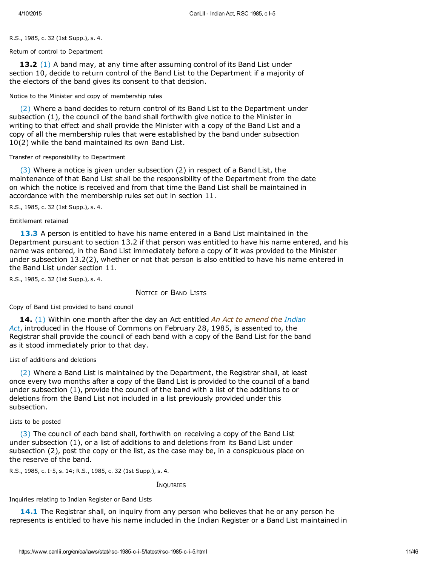R.S., 1985, c. 32 (1st Supp.), s. 4.

Return of control to Department

**13.2** (1) A band may, at any time after assuming control of its Band List under section 10, decide to return control of the Band List to the Department if a majority of the electors of the band gives its consent to that decision.

Notice to the Minister and copy of membership rules

(2) Where a band decides to return control of its Band List to the Department under subsection (1), the council of the band shall forthwith give notice to the Minister in writing to that effect and shall provide the Minister with a copy of the Band List and a copy of all the membership rules that were established by the band under subsection 10(2) while the band maintained its own Band List.

Transfer of responsibility to Department

(3) Where a notice is given under subsection (2) in respect of a Band List, the maintenance of that Band List shall be the responsibility of the Department from the date on which the notice is received and from that time the Band List shall be maintained in accordance with the membership rules set out in section 11.

R.S., 1985, c. 32 (1st Supp.), s. 4.

Entitlement retained

**13.3** A person is entitled to have his name entered in a Band List maintained in the Department pursuant to section 13.2 if that person was entitled to have his name entered, and his name was entered, in the Band List immediately before a copy of it was provided to the Minister under subsection 13.2(2), whether or not that person is also entitled to have his name entered in the Band List under section 11.

R.S., 1985, c. 32 (1st Supp.), s. 4.

NOTICE OF BAND LISTS

Copy of Band List provided to band council

14. (1) Within one month after the day an Act entitled *An Act to amend the Indian Act*, [introduced](https://www.canlii.org/en/ca/laws/stat/rsc-1985-c-i-5/latest/rsc-1985-c-i-5.html) in the House of Commons on February 28, 1985, is assented to, the Registrar shall provide the council of each band with a copy of the Band List for the band as it stood immediately prior to that day.

List of additions and deletions

(2) Where a Band List is maintained by the Department, the Registrar shall, at least once every two months after a copy of the Band List is provided to the council of a band under subsection (1), provide the council of the band with a list of the additions to or deletions from the Band List not included in a list previously provided under this subsection.

Lists to be posted

(3) The council of each band shall, forthwith on receiving a copy of the Band List under subsection (1), or a list of additions to and deletions from its Band List under subsection (2), post the copy or the list, as the case may be, in a conspicuous place on the reserve of the band.

R.S., 1985, c. I-5, s. 14; R.S., 1985, c. 32 (1st Supp.), s. 4.

**INQUIRIES** 

Inquiries relating to Indian Register or Band Lists

14.1 The Registrar shall, on inguiry from any person who believes that he or any person he represents is entitled to have his name included in the Indian Register or a Band List maintained in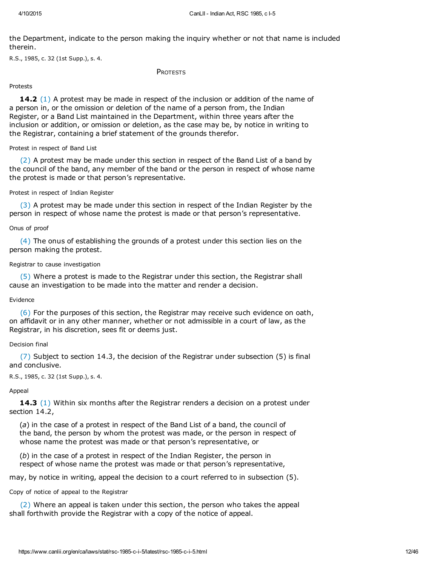the Department, indicate to the person making the inquiry whether or not that name is included therein.

R.S., 1985, c. 32 (1st Supp.), s. 4.

#### PROTESTS

#### Protests

**14.2** (1) A protest may be made in respect of the inclusion or addition of the name of a person in, or the omission or deletion of the name of a person from, the Indian Register, or a Band List maintained in the Department, within three years after the inclusion or addition, or omission or deletion, as the case may be, by notice in writing to the Registrar, containing a brief statement of the grounds therefor.

#### Protest in respect of Band List

(2) A protest may be made under this section in respect of the Band List of a band by the council of the band, any member of the band or the person in respect of whose name the protest is made or that person's representative.

# Protest in respect of Indian Register

(3) A protest may be made under this section in respect of the Indian Register by the person in respect of whose name the protest is made or that person's representative.

#### Onus of proof

(4) The onus of establishing the grounds of a protest under this section lies on the person making the protest.

#### Registrar to cause investigation

(5) Where a protest is made to the Registrar under this section, the Registrar shall cause an investigation to be made into the matter and render a decision.

#### Evidence

(6) For the purposes of this section, the Registrar may receive such evidence on oath, on affidavit or in any other manner, whether or not admissible in a court of law, as the Registrar, in his discretion, sees fit or deems just.

#### Decision final

(7) Subject to section 14.3, the decision of the Registrar under subsection (5) is final and conclusive.

R.S., 1985, c. 32 (1st Supp.), s. 4.

#### Appeal

**14.3** (1) Within six months after the Registrar renders a decision on a protest under section 14.2,

(*a*) in the case of a protest in respect of the Band List of a band, the council of the band, the person by whom the protest was made, or the person in respect of whose name the protest was made or that person's representative, or

(*b*) in the case of a protest in respect of the Indian Register, the person in respect of whose name the protest was made or that person's representative,

may, by notice in writing, appeal the decision to a court referred to in subsection (5).

Copy of notice of appeal to the Registrar

(2) Where an appeal is taken under this section, the person who takes the appeal shall forthwith provide the Registrar with a copy of the notice of appeal.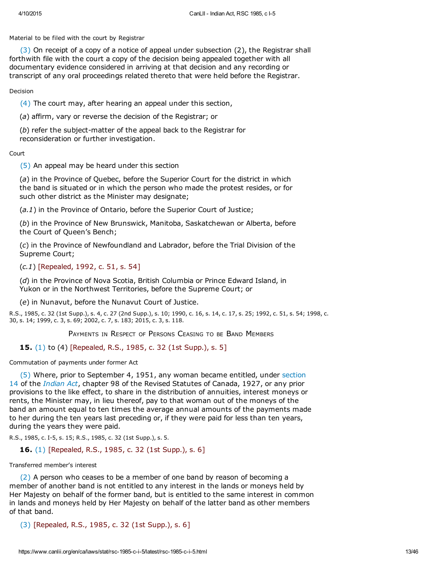Material to be filed with the court by Registrar

(3) On receipt of a copy of a notice of appeal under subsection (2), the Registrar shall forthwith file with the court a copy of the decision being appealed together with all documentary evidence considered in arriving at that decision and any recording or transcript of any oral proceedings related thereto that were held before the Registrar.

#### Decision

(4) The court may, after hearing an appeal under this section,

(*a*) affirm, vary or reverse the decision of the Registrar; or

(b) refer the subject-matter of the appeal back to the Registrar for reconsideration or further investigation.

Court

(5) An appeal may be heard under this section

(*a*) in the Province of Quebec, before the Superior Court for the district in which the band is situated or in which the person who made the protest resides, or for such other district as the Minister may designate;

(*a.1*) in the Province of Ontario, before the Superior Court of Justice;

(*b*) in the Province of New Brunswick, Manitoba, Saskatchewan or Alberta, before the Court of Queen's Bench;

(*c*) in the Province of Newfoundland and Labrador, before the Trial Division of the Supreme Court;

(*c.1*) [Repealed, 1992, c. 51, s. 54]

(*d*) in the Province of Nova Scotia, British Columbia or Prince Edward Island, in Yukon or in the Northwest Territories, before the Supreme Court; or

(*e*) in Nunavut, before the Nunavut Court of Justice.

R.S., 1985, c. 32 (1st Supp.), s. 4, c. 27 (2nd Supp.), s. 10; 1990, c. 16, s. 14, c. 17, s. 25; 1992, c. 51, s. 54; 1998, c. 30, s. 14; 1999, c. 3, s. 69; 2002, c. 7, s. 183; 2015, c. 3, s. 118.

PAYMENTS IN RESPECT OF PERSONS CEASING TO BE BAND MEMBERS

15. (1) to (4) [Repealed, R.S., 1985, c. 32 (1st Supp.), s. 5]

Commutation of payments under former Act

(5) Where, prior to September 4, 1951, any woman became entitled, under section 14 of the *[Indian](https://www.canlii.org/en/ca/laws/stat/rsc-1985-c-i-5/latest/rsc-1985-c-i-5.html) Act*, chapter 98 of the Revised Statutes of Canada, 1927, or any prior provisions to the like effect, to share in the distribution of annuities, interest moneys or rents, the Minister may, in lieu thereof, pay to that woman out of the moneys of the band an amount equal to ten times the average annual amounts of the payments made to her during the ten years last preceding or, if they were paid for less than ten years, during the years they were paid.

R.S., 1985, c. I-5, s. 15; R.S., 1985, c. 32 (1st Supp.), s. 5.

16. (1) [Repealed, R.S., 1985, c. 32 (1st Supp.), s. 6]

# Transferred member's interest

(2) A person who ceases to be a member of one band by reason of becoming a member of another band is not entitled to any interest in the lands or moneys held by Her Majesty on behalf of the former band, but is entitled to the same interest in common in lands and moneys held by Her Majesty on behalf of the latter band as other members of that band.

(3) [Repealed, R.S., 1985, c. 32 (1st Supp.), s. 6]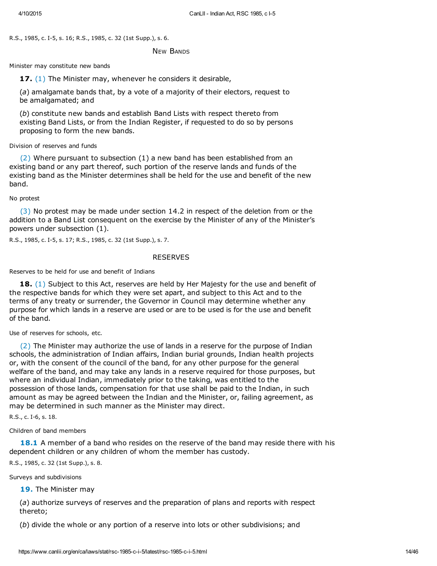R.S., 1985, c. I5, s. 16; R.S., 1985, c. 32 (1st Supp.), s. 6.

NEW BANDS

Minister may constitute new bands

**17.** (1) The Minister may, whenever he considers it desirable,

(*a*) amalgamate bands that, by a vote of a majority of their electors, request to be amalgamated; and

(*b*) constitute new bands and establish Band Lists with respect thereto from existing Band Lists, or from the Indian Register, if requested to do so by persons proposing to form the new bands.

Division of reserves and funds

(2) Where pursuant to subsection (1) a new band has been established from an existing band or any part thereof, such portion of the reserve lands and funds of the existing band as the Minister determines shall be held for the use and benefit of the new band.

No protest

(3) No protest may be made under section 14.2 in respect of the deletion from or the addition to a Band List consequent on the exercise by the Minister of any of the Minister's powers under subsection (1).

R.S., 1985, c. I-5, s. 17; R.S., 1985, c. 32 (1st Supp.), s. 7.

#### RESERVES

Reserves to be held for use and benefit of Indians

**18.** (1) Subject to this Act, reserves are held by Her Majesty for the use and benefit of the respective bands for which they were set apart, and subject to this Act and to the terms of any treaty or surrender, the Governor in Council may determine whether any purpose for which lands in a reserve are used or are to be used is for the use and benefit of the band.

Use of reserves for schools, etc.

(2) The Minister may authorize the use of lands in a reserve for the purpose of Indian schools, the administration of Indian affairs, Indian burial grounds, Indian health projects or, with the consent of the council of the band, for any other purpose for the general welfare of the band, and may take any lands in a reserve required for those purposes, but where an individual Indian, immediately prior to the taking, was entitled to the possession of those lands, compensation for that use shall be paid to the Indian, in such amount as may be agreed between the Indian and the Minister, or, failing agreement, as may be determined in such manner as the Minister may direct.

R.S., c. I-6, s. 18.

Children of band members

**18.1** A member of a band who resides on the reserve of the band may reside there with his dependent children or any children of whom the member has custody.

R.S., 1985, c. 32 (1st Supp.), s. 8.

Surveys and subdivisions

19. The Minister may

(*a*) authorize surveys of reserves and the preparation of plans and reports with respect thereto;

(*b*) divide the whole or any portion of a reserve into lots or other subdivisions; and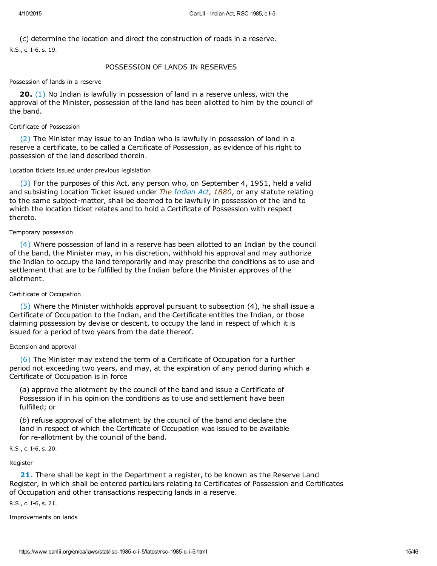(*c*) determine the location and direct the construction of roads in a reserve.

R.S., c. I-6, s. 19.

# POSSESSION OF LANDS IN RESERVES

# Possession of lands in a reserve

20. (1) No Indian is lawfully in possession of land in a reserve unless, with the approval of the Minister, possession of the land has been allotted to him by the council of the band.

#### Certificate of Possession

(2) The Minister may issue to an Indian who is lawfully in possession of land in a reserve a certificate, to be called a Certificate of Possession, as evidence of his right to possession of the land described therein.

#### Location tickets issued under previous legislation

(3) For the purposes of this Act, any person who, on September 4, 1951, held a valid and subsisting Location Ticket issued under *The [Indian](https://www.canlii.org/en/ca/laws/stat/rsc-1985-c-i-5/latest/rsc-1985-c-i-5.html) Act, 1880*, or any statute relating to the same subject-matter, shall be deemed to be lawfully in possession of the land to which the location ticket relates and to hold a Certificate of Possession with respect thereto.

#### Temporary possession

(4) Where possession of land in a reserve has been allotted to an Indian by the council of the band, the Minister may, in his discretion, withhold his approval and may authorize the Indian to occupy the land temporarily and may prescribe the conditions as to use and settlement that are to be fulfilled by the Indian before the Minister approves of the allotment.

#### Certificate of Occupation

(5) Where the Minister withholds approval pursuant to subsection (4), he shall issue a Certificate of Occupation to the Indian, and the Certificate entitles the Indian, or those claiming possession by devise or descent, to occupy the land in respect of which it is issued for a period of two years from the date thereof.

#### Extension and approval

(6) The Minister may extend the term of a Certificate of Occupation for a further period not exceeding two years, and may, at the expiration of any period during which a Certificate of Occupation is in force

(*a*) approve the allotment by the council of the band and issue a Certificate of Possession if in his opinion the conditions as to use and settlement have been fulfilled; or

(*b*) refuse approval of the allotment by the council of the band and declare the land in respect of which the Certificate of Occupation was issued to be available for re-allotment by the council of the band.

# R.S., c. I-6, s. 20.

#### Register

21. There shall be kept in the Department a register, to be known as the Reserve Land Register, in which shall be entered particulars relating to Certificates of Possession and Certificates of Occupation and other transactions respecting lands in a reserve.

R.S., c. I-6, s. 21.

Improvements on lands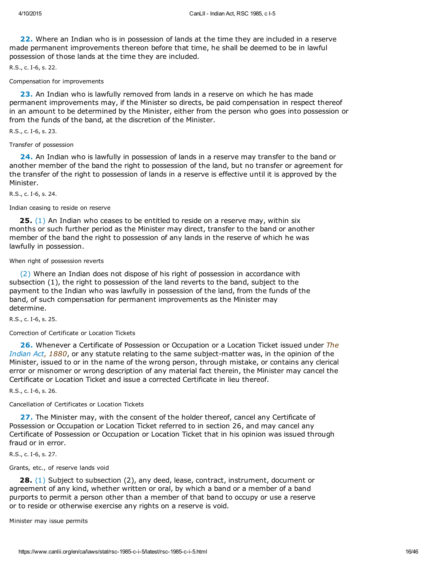22. Where an Indian who is in possession of lands at the time they are included in a reserve made permanent improvements thereon before that time, he shall be deemed to be in lawful possession of those lands at the time they are included.

R.S., c. I-6, s. 22.

#### Compensation for improvements

23. An Indian who is lawfully removed from lands in a reserve on which he has made permanent improvements may, if the Minister so directs, be paid compensation in respect thereof in an amount to be determined by the Minister, either from the person who goes into possession or from the funds of the band, at the discretion of the Minister.

R.S., c. I-6, s. 23.

Transfer of possession

24. An Indian who is lawfully in possession of lands in a reserve may transfer to the band or another member of the band the right to possession of the land, but no transfer or agreement for the transfer of the right to possession of lands in a reserve is effective until it is approved by the Minister.

R.S., c. I-6, s. 24.

#### Indian ceasing to reside on reserve

**25.** (1) An Indian who ceases to be entitled to reside on a reserve may, within six months or such further period as the Minister may direct, transfer to the band or another member of the band the right to possession of any lands in the reserve of which he was lawfully in possession.

#### When right of possession reverts

(2) Where an Indian does not dispose of his right of possession in accordance with subsection (1), the right to possession of the land reverts to the band, subject to the payment to the Indian who was lawfully in possession of the land, from the funds of the band, of such compensation for permanent improvements as the Minister may determine.

R.S., c. I-6, s. 25.

Correction of Certificate or Location Tickets

26. Whenever a Certificate of Possession or Occupation or a Location Ticket issued under *The [Indian](https://www.canlii.org/en/ca/laws/stat/rsc-1985-c-i-5/latest/rsc-1985-c-i-5.html) Act, 1880*, or any statute relating to the same subject-matter was, in the opinion of the Minister, issued to or in the name of the wrong person, through mistake, or contains any clerical error or misnomer or wrong description of any material fact therein, the Minister may cancel the Certificate or Location Ticket and issue a corrected Certificate in lieu thereof.

R.S., c. I-6, s. 26.

# Cancellation of Certificates or Location Tickets

27. The Minister may, with the consent of the holder thereof, cancel any Certificate of Possession or Occupation or Location Ticket referred to in section 26, and may cancel any Certificate of Possession or Occupation or Location Ticket that in his opinion was issued through fraud or in error.

R.S., c. I-6, s. 27.

#### Grants, etc., of reserve lands void

28. (1) Subject to subsection (2), any deed, lease, contract, instrument, document or agreement of any kind, whether written or oral, by which a band or a member of a band purports to permit a person other than a member of that band to occupy or use a reserve or to reside or otherwise exercise any rights on a reserve is void.

Minister may issue permits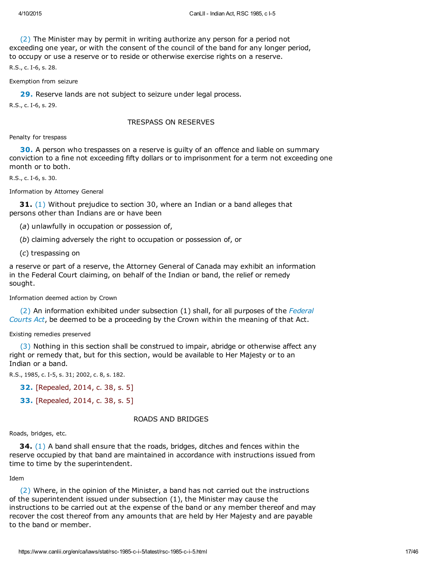(2) The Minister may by permit in writing authorize any person for a period not exceeding one year, or with the consent of the council of the band for any longer period, to occupy or use a reserve or to reside or otherwise exercise rights on a reserve.

R.S., c. I-6, s. 28.

#### Exemption from seizure

29. Reserve lands are not subject to seizure under legal process.

R.S., c. I-6, s. 29.

# TRESPASS ON RESERVES

#### Penalty for trespass

**30.** A person who trespasses on a reserve is quilty of an offence and liable on summary conviction to a fine not exceeding fifty dollars or to imprisonment for a term not exceeding one month or to both.

R.S., c. I-6, s. 30.

# Information by Attorney General

**31.** (1) Without prejudice to section 30, where an Indian or a band alleges that persons other than Indians are or have been

- (*a*) unlawfully in occupation or possession of,
- (*b*) claiming adversely the right to occupation or possession of, or
- (*c*) trespassing on

a reserve or part of a reserve, the Attorney General of Canada may exhibit an information in the Federal Court claiming, on behalf of the Indian or band, the relief or remedy sought.

Information deemed action by Crown

(2) An [information](https://www.canlii.org/en/ca/laws/stat/rsc-1985-c-f-7/latest/rsc-1985-c-f-7.html) exhibited under subsection (1) shall, for all purposes of the *Federal Courts Act*, be deemed to be a proceeding by the Crown within the meaning of that Act.

Existing remedies preserved

(3) Nothing in this section shall be construed to impair, abridge or otherwise affect any right or remedy that, but for this section, would be available to Her Majesty or to an Indian or a band.

R.S., 1985, c. I-5, s. 31; 2002, c. 8, s. 182.

- 32. [Repealed, 2014, c. 38, s. 5]
- 33. [Repealed, 2014, c. 38, s. 5]

#### ROADS AND BRIDGES

#### Roads, bridges, etc.

**34.** (1) A band shall ensure that the roads, bridges, ditches and fences within the reserve occupied by that band are maintained in accordance with instructions issued from time to time by the superintendent.

#### Idem

(2) Where, in the opinion of the Minister, a band has not carried out the instructions of the superintendent issued under subsection (1), the Minister may cause the instructions to be carried out at the expense of the band or any member thereof and may recover the cost thereof from any amounts that are held by Her Majesty and are payable to the band or member.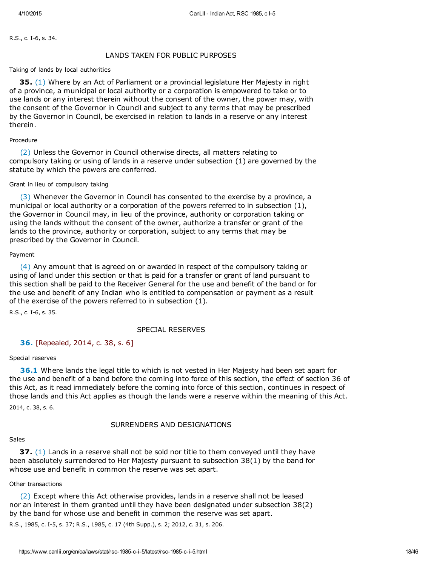R.S., c. I-6, s. 34.

# LANDS TAKEN FOR PUBLIC PURPOSES

Taking of lands by local authorities

35. (1) Where by an Act of Parliament or a provincial legislature Her Majesty in right of a province, a municipal or local authority or a corporation is empowered to take or to use lands or any interest therein without the consent of the owner, the power may, with the consent of the Governor in Council and subject to any terms that may be prescribed by the Governor in Council, be exercised in relation to lands in a reserve or any interest therein.

#### Procedure

(2) Unless the Governor in Council otherwise directs, all matters relating to compulsory taking or using of lands in a reserve under subsection (1) are governed by the statute by which the powers are conferred.

#### Grant in lieu of compulsory taking

(3) Whenever the Governor in Council has consented to the exercise by a province, a municipal or local authority or a corporation of the powers referred to in subsection (1), the Governor in Council may, in lieu of the province, authority or corporation taking or using the lands without the consent of the owner, authorize a transfer or grant of the lands to the province, authority or corporation, subject to any terms that may be prescribed by the Governor in Council.

#### Payment

(4) Any amount that is agreed on or awarded in respect of the compulsory taking or using of land under this section or that is paid for a transfer or grant of land pursuant to this section shall be paid to the Receiver General for the use and benefit of the band or for the use and benefit of any Indian who is entitled to compensation or payment as a result of the exercise of the powers referred to in subsection (1).

R.S., c. I-6, s. 35.

# SPECIAL RESERVES

#### 36. [Repealed, 2014, c. 38, s. 6]

#### Special reserves

**36.1** Where lands the legal title to which is not vested in Her Majesty had been set apart for the use and benefit of a band before the coming into force of this section, the effect of section 36 of this Act, as it read immediately before the coming into force of this section, continues in respect of those lands and this Act applies as though the lands were a reserve within the meaning of this Act. 2014, c. 38, s. 6.

# SURRENDERS AND DESIGNATIONS

#### Sales

37. (1) Lands in a reserve shall not be sold nor title to them conveyed until they have been absolutely surrendered to Her Majesty pursuant to subsection 38(1) by the band for whose use and benefit in common the reserve was set apart.

Other transactions

(2) Except where this Act otherwise provides, lands in a reserve shall not be leased nor an interest in them granted until they have been designated under subsection 38(2) by the band for whose use and benefit in common the reserve was set apart.

R.S., 1985, c. I-5, s. 37; R.S., 1985, c. 17 (4th Supp.), s. 2; 2012, c. 31, s. 206.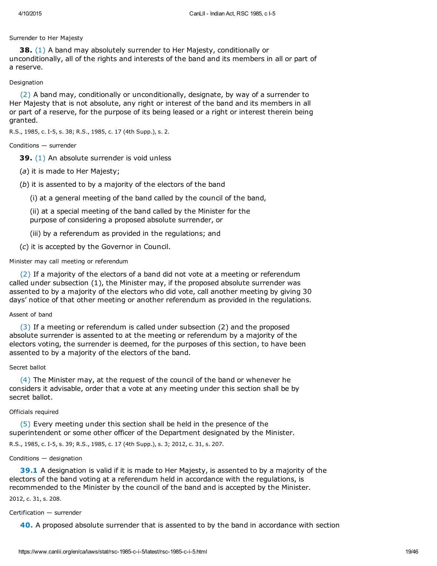#### Surrender to Her Majesty

**38.** (1) A band may absolutely surrender to Her Majesty, conditionally or unconditionally, all of the rights and interests of the band and its members in all or part of a reserve.

# Designation

(2) A band may, conditionally or unconditionally, designate, by way of a surrender to Her Majesty that is not absolute, any right or interest of the band and its members in all or part of a reserve, for the purpose of its being leased or a right or interest therein being granted.

R.S., 1985, c. I-5, s. 38; R.S., 1985, c. 17 (4th Supp.), s. 2.

Conditions — surrender

39. (1) An absolute surrender is void unless

(*a*) it is made to Her Majesty;

(*b*) it is assented to by a majority of the electors of the band

(i) at a general meeting of the band called by the council of the band,

(ii) at a special meeting of the band called by the Minister for the purpose of considering a proposed absolute surrender, or

(iii) by a referendum as provided in the regulations; and

(*c*) it is accepted by the Governor in Council.

# Minister may call meeting or referendum

(2) If a majority of the electors of a band did not vote at a meeting or referendum called under subsection (1), the Minister may, if the proposed absolute surrender was assented to by a majority of the electors who did vote, call another meeting by giving 30 days' notice of that other meeting or another referendum as provided in the regulations.

#### Assent of band

(3) If a meeting or referendum is called under subsection (2) and the proposed absolute surrender is assented to at the meeting or referendum by a majority of the electors voting, the surrender is deemed, for the purposes of this section, to have been assented to by a majority of the electors of the band.

# Secret ballot

(4) The Minister may, at the request of the council of the band or whenever he considers it advisable, order that a vote at any meeting under this section shall be by secret ballot.

# Officials required

(5) Every meeting under this section shall be held in the presence of the superintendent or some other officer of the Department designated by the Minister. R.S., 1985, c. I-5, s. 39; R.S., 1985, c. 17 (4th Supp.), s. 3; 2012, c. 31, s. 207.

#### Conditions — designation

**39.1** A designation is valid if it is made to Her Majesty, is assented to by a majority of the electors of the band voting at a referendum held in accordance with the regulations, is recommended to the Minister by the council of the band and is accepted by the Minister.

2012, c. 31, s. 208.

#### Certification — surrender

40. A proposed absolute surrender that is assented to by the band in accordance with section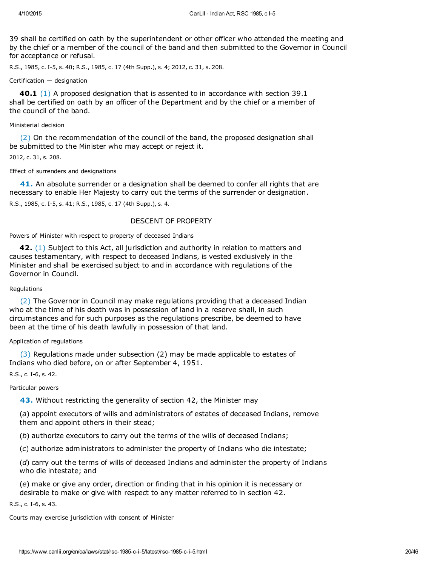39 shall be certified on oath by the superintendent or other officer who attended the meeting and by the chief or a member of the council of the band and then submitted to the Governor in Council for acceptance or refusal.

R.S., 1985, c. I-5, s. 40; R.S., 1985, c. 17 (4th Supp.), s. 4; 2012, c. 31, s. 208.

Certification — designation

**40.1** (1) A proposed designation that is assented to in accordance with section 39.1 shall be certified on oath by an officer of the Department and by the chief or a member of the council of the band.

### Ministerial decision

(2) On the recommendation of the council of the band, the proposed designation shall be submitted to the Minister who may accept or reject it.

2012, c. 31, s. 208.

#### Effect of surrenders and designations

41. An absolute surrender or a designation shall be deemed to confer all rights that are necessary to enable Her Majesty to carry out the terms of the surrender or designation.

R.S., 1985, c. I-5, s. 41; R.S., 1985, c. 17 (4th Supp.), s. 4.

#### DESCENT OF PROPERTY

Powers of Minister with respect to property of deceased Indians

42. (1) Subject to this Act, all jurisdiction and authority in relation to matters and causes testamentary, with respect to deceased Indians, is vested exclusively in the Minister and shall be exercised subject to and in accordance with regulations of the Governor in Council.

#### Regulations

(2) The Governor in Council may make regulations providing that a deceased Indian who at the time of his death was in possession of land in a reserve shall, in such circumstances and for such purposes as the regulations prescribe, be deemed to have been at the time of his death lawfully in possession of that land.

#### Application of regulations

(3) Regulations made under subsection (2) may be made applicable to estates of Indians who died before, on or after September 4, 1951.

R.S., c. I-6, s. 42.

Particular powers

43. Without restricting the generality of section 42, the Minister may

(*a*) appoint executors of wills and administrators of estates of deceased Indians, remove them and appoint others in their stead;

(*b*) authorize executors to carry out the terms of the wills of deceased Indians;

(*c*) authorize administrators to administer the property of Indians who die intestate;

(*d*) carry out the terms of wills of deceased Indians and administer the property of Indians who die intestate; and

(*e*) make or give any order, direction or finding that in his opinion it is necessary or desirable to make or give with respect to any matter referred to in section 42.

R.S., c. I-6, s. 43.

Courts may exercise jurisdiction with consent of Minister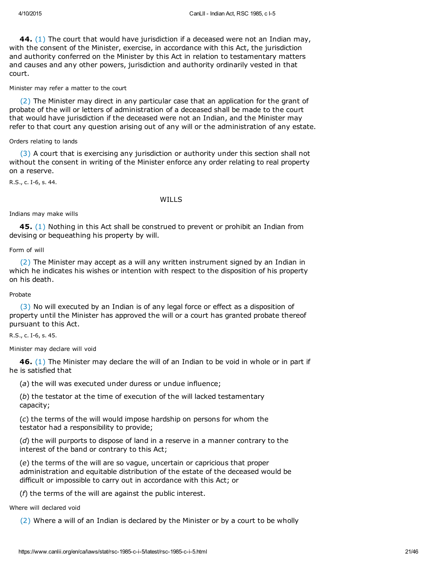44. (1) The court that would have jurisdiction if a deceased were not an Indian may, with the consent of the Minister, exercise, in accordance with this Act, the jurisdiction and authority conferred on the Minister by this Act in relation to testamentary matters and causes and any other powers, jurisdiction and authority ordinarily vested in that court.

Minister may refer a matter to the court

(2) The Minister may direct in any particular case that an application for the grant of probate of the will or letters of administration of a deceased shall be made to the court that would have jurisdiction if the deceased were not an Indian, and the Minister may refer to that court any question arising out of any will or the administration of any estate.

#### Orders relating to lands

(3) A court that is exercising any jurisdiction or authority under this section shall not without the consent in writing of the Minister enforce any order relating to real property on a reserve.

R.S., c. I-6, s. 44.

WILLS

Indians may make wills

45. (1) Nothing in this Act shall be construed to prevent or prohibit an Indian from devising or bequeathing his property by will.

#### Form of will

(2) The Minister may accept as a will any written instrument signed by an Indian in which he indicates his wishes or intention with respect to the disposition of his property on his death.

# Probate

(3) No will executed by an Indian is of any legal force or effect as a disposition of property until the Minister has approved the will or a court has granted probate thereof pursuant to this Act.

R.S., c. I-6, s. 45.

#### Minister may declare will void

46. (1) The Minister may declare the will of an Indian to be void in whole or in part if he is satisfied that

(*a*) the will was executed under duress or undue influence;

(*b*) the testator at the time of execution of the will lacked testamentary capacity;

(*c*) the terms of the will would impose hardship on persons for whom the testator had a responsibility to provide;

(*d*) the will purports to dispose of land in a reserve in a manner contrary to the interest of the band or contrary to this Act;

(*e*) the terms of the will are so vague, uncertain or capricious that proper administration and equitable distribution of the estate of the deceased would be difficult or impossible to carry out in accordance with this Act; or

(*f*) the terms of the will are against the public interest.

#### Where will declared void

(2) Where a will of an Indian is declared by the Minister or by a court to be wholly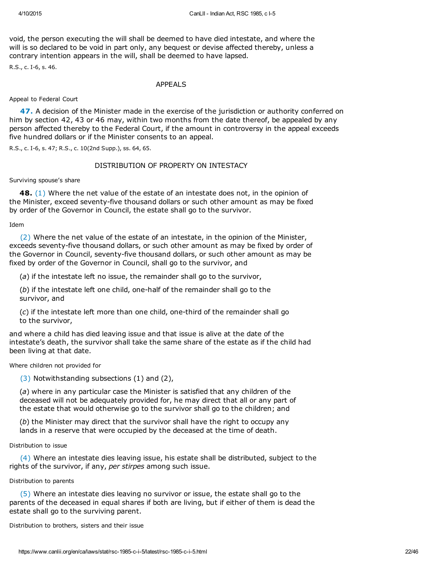void, the person executing the will shall be deemed to have died intestate, and where the will is so declared to be void in part only, any bequest or devise affected thereby, unless a contrary intention appears in the will, shall be deemed to have lapsed.

R.S., c. I-6, s. 46.

# APPEALS

Appeal to Federal Court

47. A decision of the Minister made in the exercise of the jurisdiction or authority conferred on him by section 42, 43 or 46 may, within two months from the date thereof, be appealed by any person affected thereby to the Federal Court, if the amount in controversy in the appeal exceeds five hundred dollars or if the Minister consents to an appeal.

R.S., c. I-6, s. 47; R.S., c. 10(2nd Supp.), ss. 64, 65.

# DISTRIBUTION OF PROPERTY ON INTESTACY

Surviving spouse's share

48. (1) Where the net value of the estate of an intestate does not, in the opinion of the Minister, exceed seventy-five thousand dollars or such other amount as may be fixed by order of the Governor in Council, the estate shall go to the survivor.

Idem

(2) Where the net value of the estate of an intestate, in the opinion of the Minister, exceeds seventy-five thousand dollars, or such other amount as may be fixed by order of the Governor in Council, seventy-five thousand dollars, or such other amount as may be fixed by order of the Governor in Council, shall go to the survivor, and

(*a*) if the intestate left no issue, the remainder shall go to the survivor,

(b) if the intestate left one child, one-half of the remainder shall go to the survivor, and

(c) if the intestate left more than one child, one-third of the remainder shall go to the survivor,

and where a child has died leaving issue and that issue is alive at the date of the intestate's death, the survivor shall take the same share of the estate as if the child had been living at that date.

Where children not provided for

(3) Notwithstanding subsections (1) and (2),

(*a*) where in any particular case the Minister is satisfied that any children of the deceased will not be adequately provided for, he may direct that all or any part of the estate that would otherwise go to the survivor shall go to the children; and

(*b*) the Minister may direct that the survivor shall have the right to occupy any lands in a reserve that were occupied by the deceased at the time of death.

Distribution to issue

 $(4)$  Where an intestate dies leaving issue, his estate shall be distributed, subject to the rights of the survivor, if any, *per stirpes* among such issue.

#### Distribution to parents

(5) Where an intestate dies leaving no survivor or issue, the estate shall go to the parents of the deceased in equal shares if both are living, but if either of them is dead the estate shall go to the surviving parent.

Distribution to brothers, sisters and their issue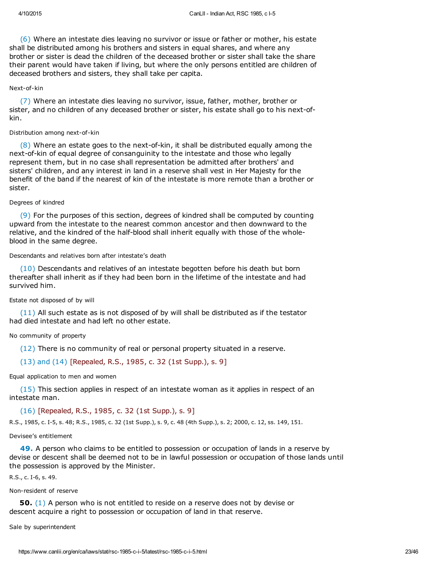(6) Where an intestate dies leaving no survivor or issue or father or mother, his estate shall be distributed among his brothers and sisters in equal shares, and where any brother or sister is dead the children of the deceased brother or sister shall take the share their parent would have taken if living, but where the only persons entitled are children of deceased brothers and sisters, they shall take per capita.

#### Next-of-kin

(7) Where an intestate dies leaving no survivor, issue, father, mother, brother or sister, and no children of any deceased brother or sister, his estate shall go to his next-ofkin.

# Distribution among next-of-kin

 $(8)$  Where an estate goes to the next-of-kin, it shall be distributed equally among the next-of-kin of equal degree of consanguinity to the intestate and those who legally represent them, but in no case shall representation be admitted after brothers' and sisters' children, and any interest in land in a reserve shall vest in Her Majesty for the benefit of the band if the nearest of kin of the intestate is more remote than a brother or sister.

#### Degrees of kindred

(9) For the purposes of this section, degrees of kindred shall be computed by counting upward from the intestate to the nearest common ancestor and then downward to the relative, and the kindred of the half-blood shall inherit equally with those of the wholeblood in the same degree.

# Descendants and relatives born after intestate's death

(10) Descendants and relatives of an intestate begotten before his death but born thereafter shall inherit as if they had been born in the lifetime of the intestate and had survived him.

#### Estate not disposed of by will

 $(11)$  All such estate as is not disposed of by will shall be distributed as if the testator had died intestate and had left no other estate.

#### No community of property

(12) There is no community of real or personal property situated in a reserve.

# (13) and (14) [Repealed, R.S., 1985, c. 32 (1st Supp.), s. 9]

Equal application to men and women

 $(15)$  This section applies in respect of an intestate woman as it applies in respect of an intestate man.

```
(16) [Repealed, R.S., 1985, c. 32 (1st Supp.), s. 9]
```
R.S., 1985, c. I-5, s. 48; R.S., 1985, c. 32 (1st Supp.), s. 9, c. 48 (4th Supp.), s. 2; 2000, c. 12, ss. 149, 151.

# Devisee's entitlement

49. A person who claims to be entitled to possession or occupation of lands in a reserve by devise or descent shall be deemed not to be in lawful possession or occupation of those lands until the possession is approved by the Minister.

# R.S., c. I-6, s. 49.

# Non-resident of reserve

**50.** (1) A person who is not entitled to reside on a reserve does not by devise or descent acquire a right to possession or occupation of land in that reserve.

Sale by superintendent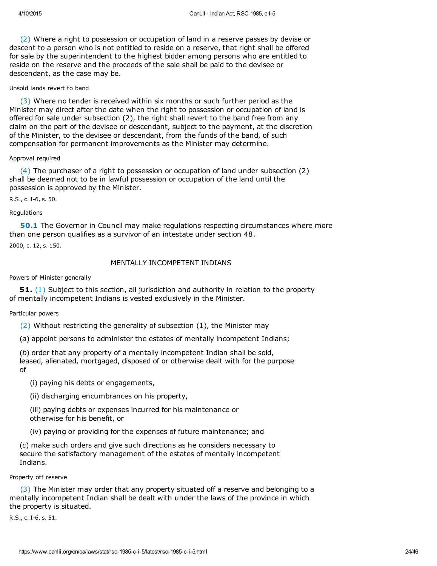(2) Where a right to possession or occupation of land in a reserve passes by devise or descent to a person who is not entitled to reside on a reserve, that right shall be offered for sale by the superintendent to the highest bidder among persons who are entitled to reside on the reserve and the proceeds of the sale shall be paid to the devisee or descendant, as the case may be.

#### Unsold lands revert to band

(3) Where no tender is received within six months or such further period as the Minister may direct after the date when the right to possession or occupation of land is offered for sale under subsection (2), the right shall revert to the band free from any claim on the part of the devisee or descendant, subject to the payment, at the discretion of the Minister, to the devisee or descendant, from the funds of the band, of such compensation for permanent improvements as the Minister may determine.

#### Approval required

(4) The purchaser of a right to possession or occupation of land under subsection (2) shall be deemed not to be in lawful possession or occupation of the land until the possession is approved by the Minister.

R.S., c. I-6, s. 50.

#### Regulations

50.1 The Governor in Council may make regulations respecting circumstances where more than one person qualifies as a survivor of an intestate under section 48. 2000, c. 12, s. 150.

# MENTALLY INCOMPETENT INDIANS

Powers of Minister generally

**51.** (1) Subject to this section, all jurisdiction and authority in relation to the property of mentally incompetent Indians is vested exclusively in the Minister.

Particular powers

 $(2)$  Without restricting the generality of subsection (1), the Minister may

(*a*) appoint persons to administer the estates of mentally incompetent Indians;

(*b*) order that any property of a mentally incompetent Indian shall be sold, leased, alienated, mortgaged, disposed of or otherwise dealt with for the purpose of

(i) paying his debts or engagements,

(ii) discharging encumbrances on his property,

(iii) paying debts or expenses incurred for his maintenance or otherwise for his benefit, or

(iv) paying or providing for the expenses of future maintenance; and

(*c*) make such orders and give such directions as he considers necessary to secure the satisfactory management of the estates of mentally incompetent Indians.

#### Property off reserve

(3) The Minister may order that any property situated off a reserve and belonging to a mentally incompetent Indian shall be dealt with under the laws of the province in which the property is situated.

R.S., c. I-6, s. 51.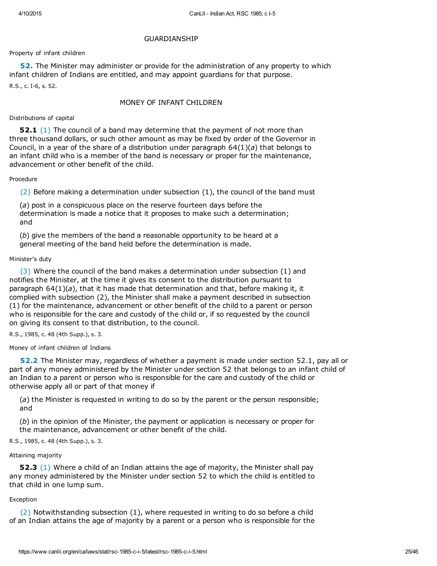# GUARDIANSHIP

Property of infant children

52. The Minister may administer or provide for the administration of any property to which infant children of Indians are entitled, and may appoint guardians for that purpose. R.S., c. I-6, s. 52.

# MONEY OF INFANT CHILDREN

# Distributions of capital

**52.1** (1) The council of a band may determine that the payment of not more than three thousand dollars, or such other amount as may be fixed by order of the Governor in Council, in a year of the share of a distribution under paragraph 64(1)(*a*) that belongs to an infant child who is a member of the band is necessary or proper for the maintenance, advancement or other benefit of the child.

Procedure

(2) Before making a determination under subsection (1), the council of the band must

(*a*) post in a conspicuous place on the reserve fourteen days before the determination is made a notice that it proposes to make such a determination; and

(*b*) give the members of the band a reasonable opportunity to be heard at a general meeting of the band held before the determination is made.

# Minister's duty

(3) Where the council of the band makes a determination under subsection (1) and notifies the Minister, at the time it gives its consent to the distribution pursuant to paragraph 64(1)(*a*), that it has made that determination and that, before making it, it complied with subsection (2), the Minister shall make a payment described in subsection (1) for the maintenance, advancement or other benefit of the child to a parent or person who is responsible for the care and custody of the child or, if so requested by the council on giving its consent to that distribution, to the council.

```
R.S., 1985, c. 48 (4th Supp.), s. 3.
```
Money of infant children of Indians

52.2 The Minister may, regardless of whether a payment is made under section 52.1, pay all or part of any money administered by the Minister under section 52 that belongs to an infant child of an Indian to a parent or person who is responsible for the care and custody of the child or otherwise apply all or part of that money if

(*a*) the Minister is requested in writing to do so by the parent or the person responsible; and

(*b*) in the opinion of the Minister, the payment or application is necessary or proper for the maintenance, advancement or other benefit of the child.

R.S., 1985, c. 48 (4th Supp.), s. 3.

# Attaining majority

**52.3** (1) Where a child of an Indian attains the age of majority, the Minister shall pay any money administered by the Minister under section 52 to which the child is entitled to that child in one lump sum.

# Exception

(2) Notwithstanding subsection (1), where requested in writing to do so before a child of an Indian attains the age of majority by a parent or a person who is responsible for the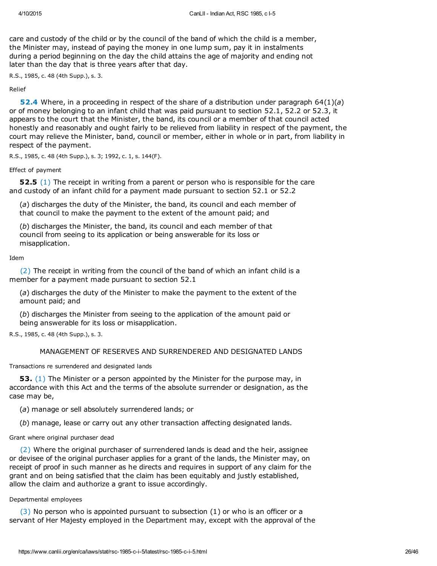care and custody of the child or by the council of the band of which the child is a member, the Minister may, instead of paying the money in one lump sum, pay it in instalments during a period beginning on the day the child attains the age of majority and ending not later than the day that is three years after that day.

R.S., 1985, c. 48 (4th Supp.), s. 3.

Relief

52.4 Where, in a proceeding in respect of the share of a distribution under paragraph 64(1)(*a*) or of money belonging to an infant child that was paid pursuant to section 52.1, 52.2 or 52.3, it appears to the court that the Minister, the band, its council or a member of that council acted honestly and reasonably and ought fairly to be relieved from liability in respect of the payment, the court may relieve the Minister, band, council or member, either in whole or in part, from liability in respect of the payment.

R.S., 1985, c. 48 (4th Supp.), s. 3; 1992, c. 1, s. 144(F).

Effect of payment

**52.5** (1) The receipt in writing from a parent or person who is responsible for the care and custody of an infant child for a payment made pursuant to section 52.1 or 52.2

(*a*) discharges the duty of the Minister, the band, its council and each member of that council to make the payment to the extent of the amount paid; and

(*b*) discharges the Minister, the band, its council and each member of that council from seeing to its application or being answerable for its loss or misapplication.

Idem

(2) The receipt in writing from the council of the band of which an infant child is a member for a payment made pursuant to section 52.1

(*a*) discharges the duty of the Minister to make the payment to the extent of the amount paid; and

(*b*) discharges the Minister from seeing to the application of the amount paid or being answerable for its loss or misapplication.

R.S., 1985, c. 48 (4th Supp.), s. 3.

# MANAGEMENT OF RESERVES AND SURRENDERED AND DESIGNATED LANDS

Transactions re surrendered and designated lands

**53.** (1) The Minister or a person appointed by the Minister for the purpose may, in accordance with this Act and the terms of the absolute surrender or designation, as the case may be,

(*a*) manage or sell absolutely surrendered lands; or

(*b*) manage, lease or carry out any other transaction affecting designated lands.

Grant where original purchaser dead

(2) Where the original purchaser of surrendered lands is dead and the heir, assignee or devisee of the original purchaser applies for a grant of the lands, the Minister may, on receipt of proof in such manner as he directs and requires in support of any claim for the grant and on being satisfied that the claim has been equitably and justly established, allow the claim and authorize a grant to issue accordingly.

#### Departmental employees

(3) No person who is appointed pursuant to subsection (1) or who is an officer or a servant of Her Majesty employed in the Department may, except with the approval of the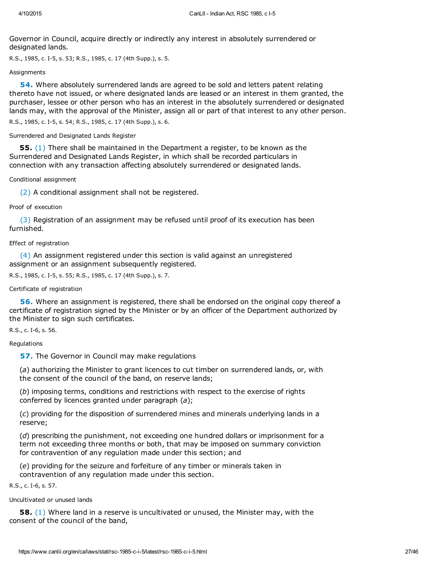Governor in Council, acquire directly or indirectly any interest in absolutely surrendered or designated lands.

R.S., 1985, c. I-5, s. 53; R.S., 1985, c. 17 (4th Supp.), s. 5.

# **Assignments**

54. Where absolutely surrendered lands are agreed to be sold and letters patent relating thereto have not issued, or where designated lands are leased or an interest in them granted, the purchaser, lessee or other person who has an interest in the absolutely surrendered or designated lands may, with the approval of the Minister, assign all or part of that interest to any other person.

R.S., 1985, c. I-5, s. 54; R.S., 1985, c. 17 (4th Supp.), s. 6.

Surrendered and Designated Lands Register

**55.** (1) There shall be maintained in the Department a register, to be known as the Surrendered and Designated Lands Register, in which shall be recorded particulars in connection with any transaction affecting absolutely surrendered or designated lands.

Conditional assignment

(2) A conditional assignment shall not be registered.

# Proof of execution

(3) Registration of an assignment may be refused until proof of its execution has been furnished.

# Effect of registration

(4) An assignment registered under this section is valid against an unregistered assignment or an assignment subsequently registered.

R.S., 1985, c. I-5, s. 55; R.S., 1985, c. 17 (4th Supp.), s. 7.

# Certificate of registration

**56.** Where an assignment is registered, there shall be endorsed on the original copy thereof a certificate of registration signed by the Minister or by an officer of the Department authorized by the Minister to sign such certificates.

R.S., c. I-6, s. 56.

#### Regulations

**57.** The Governor in Council may make regulations

(*a*) authorizing the Minister to grant licences to cut timber on surrendered lands, or, with the consent of the council of the band, on reserve lands;

(*b*) imposing terms, conditions and restrictions with respect to the exercise of rights conferred by licences granted under paragraph (*a*);

(*c*) providing for the disposition of surrendered mines and minerals underlying lands in a reserve;

(*d*) prescribing the punishment, not exceeding one hundred dollars or imprisonment for a term not exceeding three months or both, that may be imposed on summary conviction for contravention of any regulation made under this section; and

(*e*) providing for the seizure and forfeiture of any timber or minerals taken in contravention of any regulation made under this section.

R.S., c. I-6, s. 57.

Uncultivated or unused lands

58. (1) Where land in a reserve is uncultivated or unused, the Minister may, with the consent of the council of the band,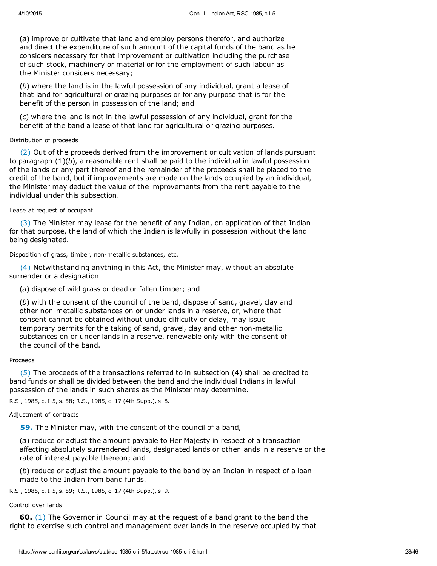(*a*) improve or cultivate that land and employ persons therefor, and authorize and direct the expenditure of such amount of the capital funds of the band as he considers necessary for that improvement or cultivation including the purchase of such stock, machinery or material or for the employment of such labour as the Minister considers necessary;

(*b*) where the land is in the lawful possession of any individual, grant a lease of that land for agricultural or grazing purposes or for any purpose that is for the benefit of the person in possession of the land; and

(*c*) where the land is not in the lawful possession of any individual, grant for the benefit of the band a lease of that land for agricultural or grazing purposes.

# Distribution of proceeds

(2) Out of the proceeds derived from the improvement or cultivation of lands pursuant to paragraph (1)(*b*), a reasonable rent shall be paid to the individual in lawful possession of the lands or any part thereof and the remainder of the proceeds shall be placed to the credit of the band, but if improvements are made on the lands occupied by an individual, the Minister may deduct the value of the improvements from the rent payable to the individual under this subsection.

# Lease at request of occupant

(3) The Minister may lease for the benefit of any Indian, on application of that Indian for that purpose, the land of which the Indian is lawfully in possession without the land being designated.

Disposition of grass, timber, non-metallic substances, etc.

(4) Notwithstanding anything in this Act, the Minister may, without an absolute surrender or a designation

(*a*) dispose of wild grass or dead or fallen timber; and

(*b*) with the consent of the council of the band, dispose of sand, gravel, clay and other non-metallic substances on or under lands in a reserve, or, where that consent cannot be obtained without undue difficulty or delay, may issue temporary permits for the taking of sand, gravel, clay and other non-metallic substances on or under lands in a reserve, renewable only with the consent of the council of the band.

#### Proceeds

(5) The proceeds of the transactions referred to in subsection (4) shall be credited to band funds or shall be divided between the band and the individual Indians in lawful possession of the lands in such shares as the Minister may determine.

R.S., 1985, c. I-5, s. 58; R.S., 1985, c. 17 (4th Supp.), s. 8.

# Adjustment of contracts

59. The Minister may, with the consent of the council of a band,

(*a*) reduce or adjust the amount payable to Her Majesty in respect of a transaction affecting absolutely surrendered lands, designated lands or other lands in a reserve or the rate of interest payable thereon; and

(*b*) reduce or adjust the amount payable to the band by an Indian in respect of a loan made to the Indian from band funds.

R.S., 1985, c. I-5, s. 59; R.S., 1985, c. 17 (4th Supp.), s. 9.

# Control over lands

60. (1) The Governor in Council may at the request of a band grant to the band the right to exercise such control and management over lands in the reserve occupied by that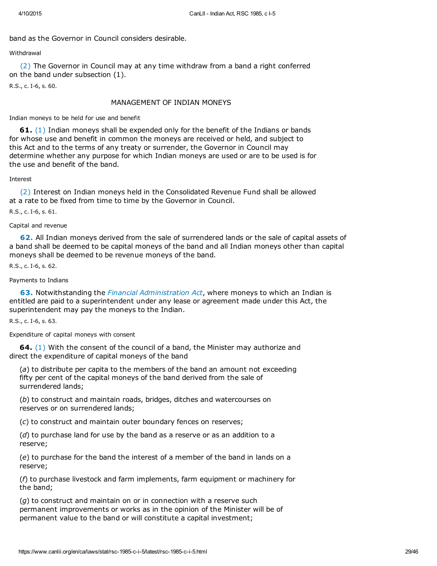band as the Governor in Council considers desirable.

#### Withdrawal

(2) The Governor in Council may at any time withdraw from a band a right conferred on the band under subsection (1).

R.S., c. I-6, s. 60.

# MANAGEMENT OF INDIAN MONEYS

Indian moneys to be held for use and benefit

61. (1) Indian moneys shall be expended only for the benefit of the Indians or bands for whose use and benefit in common the moneys are received or held, and subject to this Act and to the terms of any treaty or surrender, the Governor in Council may determine whether any purpose for which Indian moneys are used or are to be used is for the use and benefit of the band.

#### Interest

(2) Interest on Indian moneys held in the Consolidated Revenue Fund shall be allowed at a rate to be fixed from time to time by the Governor in Council.

R.S., c. I-6, s. 61.

Capital and revenue

62. All Indian moneys derived from the sale of surrendered lands or the sale of capital assets of a band shall be deemed to be capital moneys of the band and all Indian moneys other than capital moneys shall be deemed to be revenue moneys of the band.

R.S., c. I-6, s. 62.

Payments to Indians

63. Notwithstanding the *Financial [Administration](https://www.canlii.org/en/ca/laws/stat/rsc-1985-c-f-11/latest/rsc-1985-c-f-11.html) Act*, where moneys to which an Indian is entitled are paid to a superintendent under any lease or agreement made under this Act, the superintendent may pay the moneys to the Indian.

R.S., c. I-6, s. 63.

Expenditure of capital moneys with consent

64. (1) With the consent of the council of a band, the Minister may authorize and direct the expenditure of capital moneys of the band

(*a*) to distribute per capita to the members of the band an amount not exceeding fifty per cent of the capital moneys of the band derived from the sale of surrendered lands;

(*b*) to construct and maintain roads, bridges, ditches and watercourses on reserves or on surrendered lands;

(*c*) to construct and maintain outer boundary fences on reserves;

(*d*) to purchase land for use by the band as a reserve or as an addition to a reserve;

(*e*) to purchase for the band the interest of a member of the band in lands on a reserve;

(*f*) to purchase livestock and farm implements, farm equipment or machinery for the band;

(*g*) to construct and maintain on or in connection with a reserve such permanent improvements or works as in the opinion of the Minister will be of permanent value to the band or will constitute a capital investment;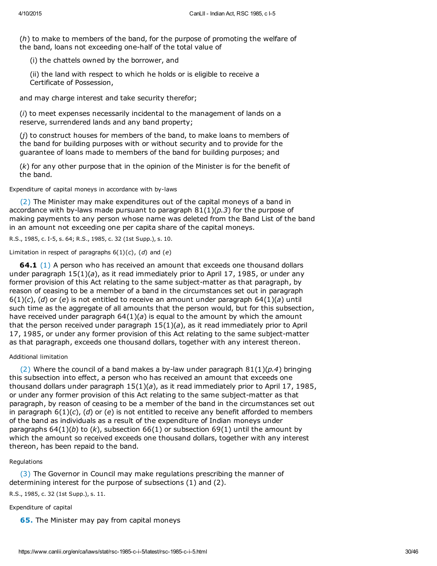(*h*) to make to members of the band, for the purpose of promoting the welfare of the band, loans not exceeding one-half of the total value of

(i) the chattels owned by the borrower, and

(ii) the land with respect to which he holds or is eligible to receive a Certificate of Possession,

and may charge interest and take security therefor;

(*i*) to meet expenses necessarily incidental to the management of lands on a reserve, surrendered lands and any band property;

(*j*) to construct houses for members of the band, to make loans to members of the band for building purposes with or without security and to provide for the guarantee of loans made to members of the band for building purposes; and

(*k*) for any other purpose that in the opinion of the Minister is for the benefit of the band.

Expenditure of capital moneys in accordance with by-laws

(2) The Minister may make expenditures out of the capital moneys of a band in accordance with by-laws made pursuant to paragraph  $81(1)(p.3)$  for the purpose of making payments to any person whose name was deleted from the Band List of the band in an amount not exceeding one per capita share of the capital moneys.

R.S., 1985, c. I-5, s. 64; R.S., 1985, c. 32 (1st Supp.), s. 10.

Limitation in respect of paragraphs 6(1)(*c*), (*d*) and (*e*)

**64.1** (1) A person who has received an amount that exceeds one thousand dollars under paragraph  $15(1)(a)$ , as it read immediately prior to April 17, 1985, or under any former provision of this Act relating to the same subject-matter as that paragraph, by reason of ceasing to be a member of a band in the circumstances set out in paragraph 6(1)(*c*), (*d*) or (*e*) is not entitled to receive an amount under paragraph 64(1)(*a*) until such time as the aggregate of all amounts that the person would, but for this subsection, have received under paragraph  $64(1)(a)$  is equal to the amount by which the amount that the person received under paragraph 15(1)(*a*), as it read immediately prior to April 17, 1985, or under any former provision of this Act relating to the same subject-matter as that paragraph, exceeds one thousand dollars, together with any interest thereon.

# Additional limitation

(2) Where the council of a band makes a by-law under paragraph  $81(1)(p.4)$  bringing this subsection into effect, a person who has received an amount that exceeds one thousand dollars under paragraph 15(1)(*a*), as it read immediately prior to April 17, 1985, or under any former provision of this Act relating to the same subject-matter as that paragraph, by reason of ceasing to be a member of the band in the circumstances set out in paragraph 6(1)(*c*), (*d*) or (*e*) is not entitled to receive any benefit afforded to members of the band as individuals as a result of the expenditure of Indian moneys under paragraphs 64(1)(*b*) to (*k*), subsection 66(1) or subsection 69(1) until the amount by which the amount so received exceeds one thousand dollars, together with any interest thereon, has been repaid to the band.

#### Regulations

(3) The Governor in Council may make regulations prescribing the manner of determining interest for the purpose of subsections (1) and (2).

R.S., 1985, c. 32 (1st Supp.), s. 11.

Expenditure of capital

**65.** The Minister may pay from capital moneys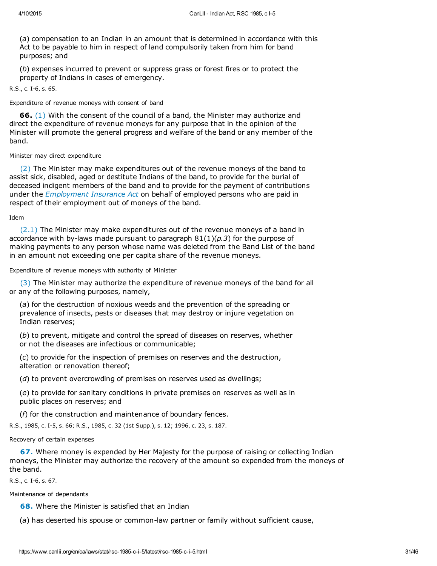(*a*) compensation to an Indian in an amount that is determined in accordance with this Act to be payable to him in respect of land compulsorily taken from him for band purposes; and

(*b*) expenses incurred to prevent or suppress grass or forest fires or to protect the property of Indians in cases of emergency.

R.S., c. I-6, s. 65.

Expenditure of revenue moneys with consent of band

66. (1) With the consent of the council of a band, the Minister may authorize and direct the expenditure of revenue moneys for any purpose that in the opinion of the Minister will promote the general progress and welfare of the band or any member of the band.

# Minister may direct expenditure

(2) The Minister may make expenditures out of the revenue moneys of the band to assist sick, disabled, aged or destitute Indians of the band, to provide for the burial of deceased indigent members of the band and to provide for the payment of contributions under the *[Employment](https://www.canlii.org/en/ca/laws/stat/sc-1996-c-23/latest/sc-1996-c-23.html) Insurance Act* on behalf of employed persons who are paid in respect of their employment out of moneys of the band.

#### Idem

(2.1) The Minister may make expenditures out of the revenue moneys of a band in accordance with by-laws made pursuant to paragraph  $81(1)(p.3)$  for the purpose of making payments to any person whose name was deleted from the Band List of the band in an amount not exceeding one per capita share of the revenue moneys.

Expenditure of revenue moneys with authority of Minister

(3) The Minister may authorize the expenditure of revenue moneys of the band for all or any of the following purposes, namely,

(*a*) for the destruction of noxious weeds and the prevention of the spreading or prevalence of insects, pests or diseases that may destroy or injure vegetation on Indian reserves;

(*b*) to prevent, mitigate and control the spread of diseases on reserves, whether or not the diseases are infectious or communicable;

(*c*) to provide for the inspection of premises on reserves and the destruction, alteration or renovation thereof;

(*d*) to prevent overcrowding of premises on reserves used as dwellings;

(*e*) to provide for sanitary conditions in private premises on reserves as well as in public places on reserves; and

(*f*) for the construction and maintenance of boundary fences.

R.S., 1985, c. I-5, s. 66; R.S., 1985, c. 32 (1st Supp.), s. 12; 1996, c. 23, s. 187.

# Recovery of certain expenses

67. Where money is expended by Her Majesty for the purpose of raising or collecting Indian moneys, the Minister may authorize the recovery of the amount so expended from the moneys of the band.

R.S., c. I-6, s. 67.

Maintenance of dependants

- **68.** Where the Minister is satisfied that an Indian
- (a) has deserted his spouse or common-law partner or family without sufficient cause,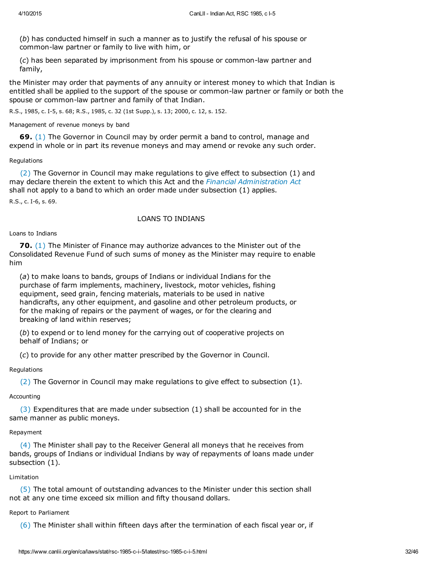(*b*) has conducted himself in such a manner as to justify the refusal of his spouse or common-law partner or family to live with him, or

(c) has been separated by imprisonment from his spouse or common-law partner and family,

the Minister may order that payments of any annuity or interest money to which that Indian is entitled shall be applied to the support of the spouse or common-law partner or family or both the spouse or common-law partner and family of that Indian.

R.S., 1985, c. I-5, s. 68; R.S., 1985, c. 32 (1st Supp.), s. 13; 2000, c. 12, s. 152.

#### Management of revenue moneys by band

69. (1) The Governor in Council may by order permit a band to control, manage and expend in whole or in part its revenue moneys and may amend or revoke any such order.

# **Regulations**

(2) The Governor in Council may make regulations to give effect to subsection (1) and may declare therein the extent to which this Act and the *Financial [Administration](https://www.canlii.org/en/ca/laws/stat/rsc-1985-c-f-11/latest/rsc-1985-c-f-11.html) Act* shall not apply to a band to which an order made under subsection (1) applies. R.S., c. I-6, s. 69.

# LOANS TO INDIANS

# Loans to Indians

70. (1) The Minister of Finance may authorize advances to the Minister out of the Consolidated Revenue Fund of such sums of money as the Minister may require to enable him

(*a*) to make loans to bands, groups of Indians or individual Indians for the purchase of farm implements, machinery, livestock, motor vehicles, fishing equipment, seed grain, fencing materials, materials to be used in native handicrafts, any other equipment, and gasoline and other petroleum products, or for the making of repairs or the payment of wages, or for the clearing and breaking of land within reserves;

(*b*) to expend or to lend money for the carrying out of cooperative projects on behalf of Indians; or

(*c*) to provide for any other matter prescribed by the Governor in Council.

# **Regulations**

(2) The Governor in Council may make regulations to give effect to subsection (1).

# Accounting

(3) Expenditures that are made under subsection (1) shall be accounted for in the same manner as public moneys.

# Repayment

(4) The Minister shall pay to the Receiver General all moneys that he receives from bands, groups of Indians or individual Indians by way of repayments of loans made under subsection (1).

# Limitation

(5) The total amount of outstanding advances to the Minister under this section shall not at any one time exceed six million and fifty thousand dollars.

#### Report to Parliament

(6) The Minister shall within fifteen days after the termination of each fiscal year or, if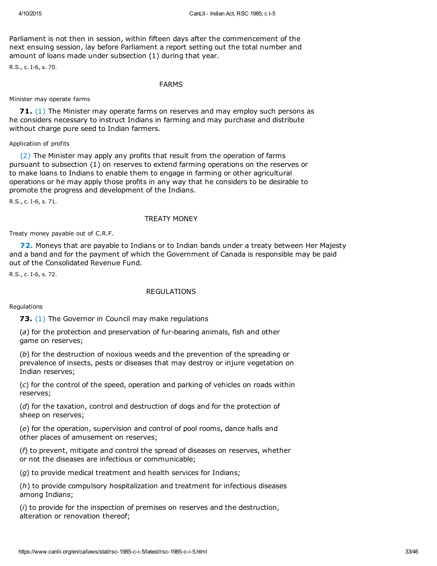Parliament is not then in session, within fifteen days after the commencement of the next ensuing session, lay before Parliament a report setting out the total number and amount of loans made under subsection (1) during that year.

R.S., c. I-6, s. 70.

# FARMS

Minister may operate farms

71. (1) The Minister may operate farms on reserves and may employ such persons as he considers necessary to instruct Indians in farming and may purchase and distribute without charge pure seed to Indian farmers.

Application of profits

(2) The Minister may apply any profits that result from the operation of farms pursuant to subsection (1) on reserves to extend farming operations on the reserves or to make loans to Indians to enable them to engage in farming or other agricultural operations or he may apply those profits in any way that he considers to be desirable to promote the progress and development of the Indians.

R.S., c. I-6, s. 71.

# TREATY MONEY

Treaty money payable out of C.R.F.

72. Moneys that are payable to Indians or to Indian bands under a treaty between Her Majesty and a band and for the payment of which the Government of Canada is responsible may be paid out of the Consolidated Revenue Fund.

R.S., c. I-6, s. 72.

# REGULATIONS

Regulations

**73.** (1) The Governor in Council may make regulations

(a) for the protection and preservation of fur-bearing animals, fish and other game on reserves;

(*b*) for the destruction of noxious weeds and the prevention of the spreading or prevalence of insects, pests or diseases that may destroy or injure vegetation on Indian reserves;

(*c*) for the control of the speed, operation and parking of vehicles on roads within reserves;

(*d*) for the taxation, control and destruction of dogs and for the protection of sheep on reserves;

(*e*) for the operation, supervision and control of pool rooms, dance halls and other places of amusement on reserves;

(*f*) to prevent, mitigate and control the spread of diseases on reserves, whether or not the diseases are infectious or communicable;

(*g*) to provide medical treatment and health services for Indians;

(*h*) to provide compulsory hospitalization and treatment for infectious diseases among Indians;

(*i*) to provide for the inspection of premises on reserves and the destruction, alteration or renovation thereof;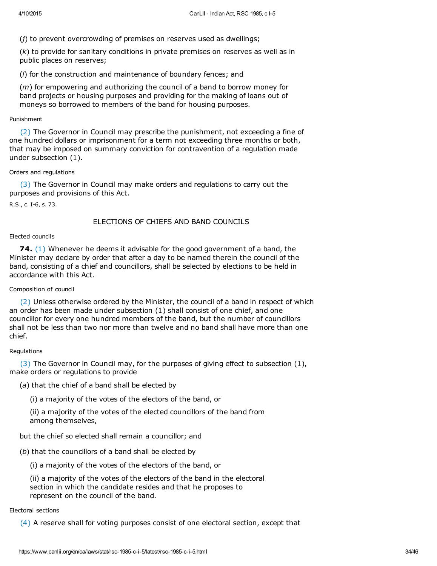(*j*) to prevent overcrowding of premises on reserves used as dwellings;

(*k*) to provide for sanitary conditions in private premises on reserves as well as in public places on reserves;

(*l*) for the construction and maintenance of boundary fences; and

(*m*) for empowering and authorizing the council of a band to borrow money for band projects or housing purposes and providing for the making of loans out of moneys so borrowed to members of the band for housing purposes.

#### Punishment

(2) The Governor in Council may prescribe the punishment, not exceeding a fine of one hundred dollars or imprisonment for a term not exceeding three months or both, that may be imposed on summary conviction for contravention of a regulation made under subsection (1).

#### Orders and regulations

(3) The Governor in Council may make orders and regulations to carry out the purposes and provisions of this Act.

R.S., c. I-6, s. 73.

# ELECTIONS OF CHIEFS AND BAND COUNCILS

#### Elected councils

74. (1) Whenever he deems it advisable for the good government of a band, the Minister may declare by order that after a day to be named therein the council of the band, consisting of a chief and councillors, shall be selected by elections to be held in accordance with this Act.

# Composition of council

(2) Unless otherwise ordered by the Minister, the council of a band in respect of which an order has been made under subsection (1) shall consist of one chief, and one councillor for every one hundred members of the band, but the number of councillors shall not be less than two nor more than twelve and no band shall have more than one chief.

#### **Regulations**

(3) The Governor in Council may, for the purposes of giving effect to subsection (1), make orders or regulations to provide

(*a*) that the chief of a band shall be elected by

(i) a majority of the votes of the electors of the band, or

(ii) a majority of the votes of the elected councillors of the band from among themselves,

but the chief so elected shall remain a councillor; and

(*b*) that the councillors of a band shall be elected by

(i) a majority of the votes of the electors of the band, or

(ii) a majority of the votes of the electors of the band in the electoral section in which the candidate resides and that he proposes to represent on the council of the band.

#### Electoral sections

(4) A reserve shall for voting purposes consist of one electoral section, except that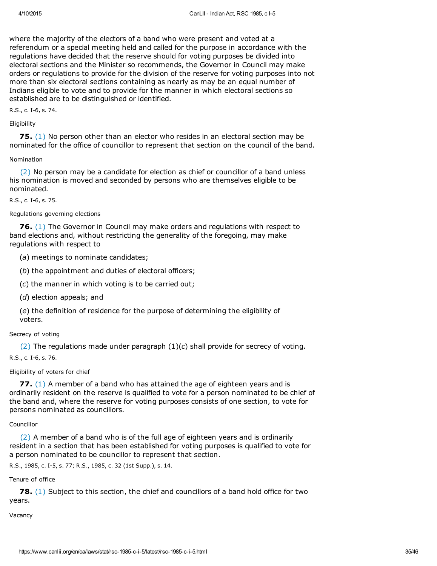where the majority of the electors of a band who were present and voted at a referendum or a special meeting held and called for the purpose in accordance with the regulations have decided that the reserve should for voting purposes be divided into electoral sections and the Minister so recommends, the Governor in Council may make orders or regulations to provide for the division of the reserve for voting purposes into not more than six electoral sections containing as nearly as may be an equal number of Indians eligible to vote and to provide for the manner in which electoral sections so established are to be distinguished or identified.

R.S., c. I-6, s. 74.

# Eligibility

75. (1) No person other than an elector who resides in an electoral section may be nominated for the office of councillor to represent that section on the council of the band.

# Nomination

(2) No person may be a candidate for election as chief or councillor of a band unless his nomination is moved and seconded by persons who are themselves eligible to be nominated.

R.S., c. I-6, s. 75.

# Regulations governing elections

76. (1) The Governor in Council may make orders and regulations with respect to band elections and, without restricting the generality of the foregoing, may make regulations with respect to

(*a*) meetings to nominate candidates;

(*b*) the appointment and duties of electoral officers;

(*c*) the manner in which voting is to be carried out;

(*d*) election appeals; and

(*e*) the definition of residence for the purpose of determining the eligibility of voters.

# Secrecy of voting

(2) The regulations made under paragraph  $(1)(c)$  shall provide for secrecy of voting.

R.S., c. I-6, s. 76.

# Eligibility of voters for chief

77. (1) A member of a band who has attained the age of eighteen years and is ordinarily resident on the reserve is qualified to vote for a person nominated to be chief of the band and, where the reserve for voting purposes consists of one section, to vote for persons nominated as councillors.

#### Councillor

(2) A member of a band who is of the full age of eighteen years and is ordinarily resident in a section that has been established for voting purposes is qualified to vote for a person nominated to be councillor to represent that section.

R.S., 1985, c. I-5, s. 77; R.S., 1985, c. 32 (1st Supp.), s. 14.

# Tenure of office

78. (1) Subject to this section, the chief and councillors of a band hold office for two years.

Vacancy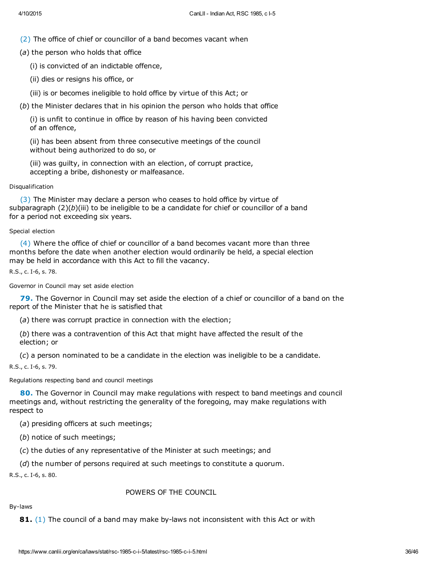(2) The office of chief or councillor of a band becomes vacant when

# (*a*) the person who holds that office

(i) is convicted of an indictable offence,

(ii) dies or resigns his office, or

(iii) is or becomes ineligible to hold office by virtue of this Act; or

(*b*) the Minister declares that in his opinion the person who holds that office

(i) is unfit to continue in office by reason of his having been convicted of an offence,

(ii) has been absent from three consecutive meetings of the council without being authorized to do so, or

(iii) was guilty, in connection with an election, of corrupt practice, accepting a bribe, dishonesty or malfeasance.

# Disqualification

(3) The Minister may declare a person who ceases to hold office by virtue of subparagraph (2)(*b*)(iii) to be ineligible to be a candidate for chief or councillor of a band for a period not exceeding six years.

# Special election

(4) Where the office of chief or councillor of a band becomes vacant more than three months before the date when another election would ordinarily be held, a special election may be held in accordance with this Act to fill the vacancy.

# R.S., c. I-6, s. 78.

Governor in Council may set aside election

79. The Governor in Council may set aside the election of a chief or councillor of a band on the report of the Minister that he is satisfied that

(*a*) there was corrupt practice in connection with the election;

(*b*) there was a contravention of this Act that might have affected the result of the election; or

(*c*) a person nominated to be a candidate in the election was ineligible to be a candidate.

R.S., c. I-6, s. 79.

Regulations respecting band and council meetings

80. The Governor in Council may make regulations with respect to band meetings and council meetings and, without restricting the generality of the foregoing, may make regulations with respect to

(*a*) presiding officers at such meetings;

(*b*) notice of such meetings;

(*c*) the duties of any representative of the Minister at such meetings; and

(*d*) the number of persons required at such meetings to constitute a quorum.

R.S., c. I-6, s. 80.

POWERS OF THE COUNCIL

By-laws

81. (1) The council of a band may make by-laws not inconsistent with this Act or with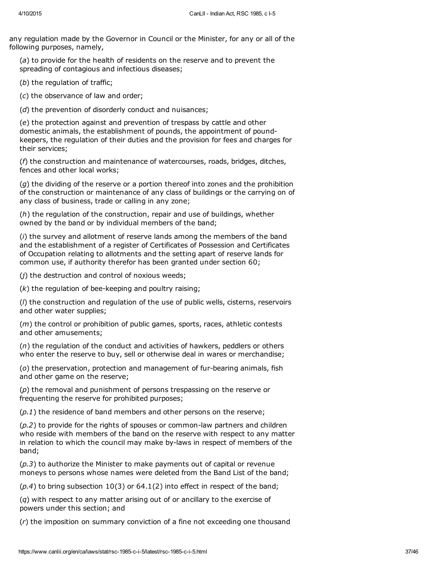any regulation made by the Governor in Council or the Minister, for any or all of the following purposes, namely,

(*a*) to provide for the health of residents on the reserve and to prevent the spreading of contagious and infectious diseases;

(*b*) the regulation of traffic;

(*c*) the observance of law and order;

(*d*) the prevention of disorderly conduct and nuisances;

(*e*) the protection against and prevention of trespass by cattle and other domestic animals, the establishment of pounds, the appointment of poundkeepers, the regulation of their duties and the provision for fees and charges for their services;

(*f*) the construction and maintenance of watercourses, roads, bridges, ditches, fences and other local works;

(*g*) the dividing of the reserve or a portion thereof into zones and the prohibition of the construction or maintenance of any class of buildings or the carrying on of any class of business, trade or calling in any zone;

(*h*) the regulation of the construction, repair and use of buildings, whether owned by the band or by individual members of the band;

(*i*) the survey and allotment of reserve lands among the members of the band and the establishment of a register of Certificates of Possession and Certificates of Occupation relating to allotments and the setting apart of reserve lands for common use, if authority therefor has been granted under section 60;

(*j*) the destruction and control of noxious weeds;

 $(k)$  the regulation of bee-keeping and poultry raising;

(*l*) the construction and regulation of the use of public wells, cisterns, reservoirs and other water supplies;

(*m*) the control or prohibition of public games, sports, races, athletic contests and other amusements;

(*n*) the regulation of the conduct and activities of hawkers, peddlers or others who enter the reserve to buy, sell or otherwise deal in wares or merchandise;

(*o*) the preservation, protection and management of fur-bearing animals, fish and other game on the reserve;

(*p*) the removal and punishment of persons trespassing on the reserve or frequenting the reserve for prohibited purposes;

(*p.1*) the residence of band members and other persons on the reserve;

 $(p.2)$  to provide for the rights of spouses or common-law partners and children who reside with members of the band on the reserve with respect to any matter in relation to which the council may make by-laws in respect of members of the band;

(*p.3*) to authorize the Minister to make payments out of capital or revenue moneys to persons whose names were deleted from the Band List of the band;

(*p.4*) to bring subsection 10(3) or 64.1(2) into effect in respect of the band;

(*q*) with respect to any matter arising out of or ancillary to the exercise of powers under this section; and

(*r*) the imposition on summary conviction of a fine not exceeding one thousand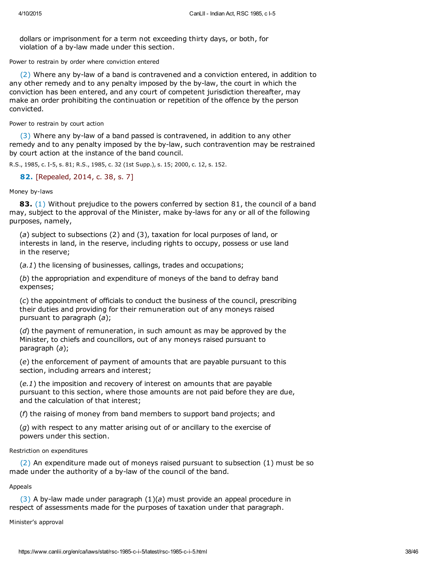dollars or imprisonment for a term not exceeding thirty days, or both, for violation of a by-law made under this section.

Power to restrain by order where conviction entered

(2) Where any bylaw of a band is contravened and a conviction entered, in addition to any other remedy and to any penalty imposed by the by-law, the court in which the conviction has been entered, and any court of competent jurisdiction thereafter, may make an order prohibiting the continuation or repetition of the offence by the person convicted.

Power to restrain by court action

(3) Where any by-law of a band passed is contravened, in addition to any other remedy and to any penalty imposed by the by-law, such contravention may be restrained by court action at the instance of the band council.

R.S., 1985, c. I-5, s. 81; R.S., 1985, c. 32 (1st Supp.), s. 15; 2000, c. 12, s. 152.

82. [Repealed, 2014, c. 38, s. 7]

Money by-laws

83. (1) Without prejudice to the powers conferred by section 81, the council of a band may, subject to the approval of the Minister, make by-laws for any or all of the following purposes, namely,

(*a*) subject to subsections (2) and (3), taxation for local purposes of land, or interests in land, in the reserve, including rights to occupy, possess or use land in the reserve;

(*a.1*) the licensing of businesses, callings, trades and occupations;

(*b*) the appropriation and expenditure of moneys of the band to defray band expenses;

(*c*) the appointment of officials to conduct the business of the council, prescribing their duties and providing for their remuneration out of any moneys raised pursuant to paragraph (*a*);

(*d*) the payment of remuneration, in such amount as may be approved by the Minister, to chiefs and councillors, out of any moneys raised pursuant to paragraph (*a*);

(*e*) the enforcement of payment of amounts that are payable pursuant to this section, including arrears and interest;

(*e.1*) the imposition and recovery of interest on amounts that are payable pursuant to this section, where those amounts are not paid before they are due, and the calculation of that interest;

(*f*) the raising of money from band members to support band projects; and

(*g*) with respect to any matter arising out of or ancillary to the exercise of powers under this section.

Restriction on expenditures

(2) An expenditure made out of moneys raised pursuant to subsection (1) must be so made under the authority of a by-law of the council of the band.

Appeals

(3) A by-law made under paragraph (1)(*a*) must provide an appeal procedure in respect of assessments made for the purposes of taxation under that paragraph.

Minister's approval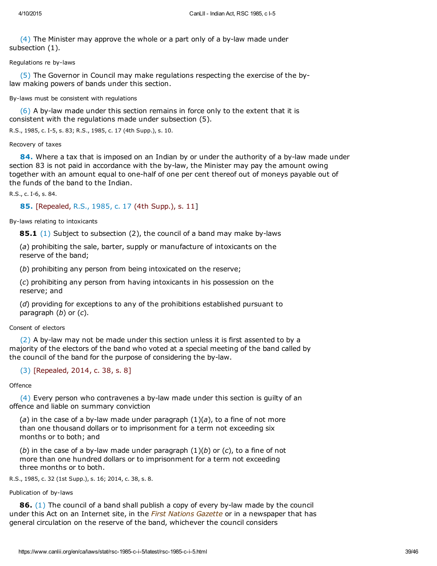$(4)$  The Minister may approve the whole or a part only of a by-law made under subsection (1).

Regulations re by-laws

(5) The Governor in Council may make regulations respecting the exercise of the bylaw making powers of bands under this section.

By-laws must be consistent with regulations

 $(6)$  A by-law made under this section remains in force only to the extent that it is consistent with the regulations made under subsection (5).

R.S., 1985, c. I-5, s. 83; R.S., 1985, c. 17 (4th Supp.), s. 10.

Recovery of taxes

84. Where a tax that is imposed on an Indian by or under the authority of a by-law made under section 83 is not paid in accordance with the by-law, the Minister may pay the amount owing together with an amount equal to one-half of one per cent thereof out of moneys payable out of the funds of the band to the Indian.

R.S., c. I-6, s. 84.

85. [Repealed, R.S., [1985,](https://www.canlii.org/en/ca/laws/stat/rsc-1985-c-c-17/latest/rsc-1985-c-c-17.html) c. 17 (4th Supp.), s. 11]

By-laws relating to intoxicants

**85.1** (1) Subject to subsection (2), the council of a band may make by-laws

(*a*) prohibiting the sale, barter, supply or manufacture of intoxicants on the reserve of the band;

(*b*) prohibiting any person from being intoxicated on the reserve;

(*c*) prohibiting any person from having intoxicants in his possession on the reserve; and

(*d*) providing for exceptions to any of the prohibitions established pursuant to paragraph (*b*) or (*c*).

Consent of electors

 $(2)$  A by-law may not be made under this section unless it is first assented to by a majority of the electors of the band who voted at a special meeting of the band called by the council of the band for the purpose of considering the by-law.

(3) [Repealed, 2014, c. 38, s. 8]

**Offence** 

 $(4)$  Every person who contravenes a by-law made under this section is quilty of an offence and liable on summary conviction

(*a*) in the case of a by-law made under paragraph  $(1)(a)$ , to a fine of not more than one thousand dollars or to imprisonment for a term not exceeding six months or to both; and

(*b*) in the case of a by-law made under paragraph  $(1)(b)$  or  $(c)$ , to a fine of not more than one hundred dollars or to imprisonment for a term not exceeding three months or to both.

R.S., 1985, c. 32 (1st Supp.), s. 16; 2014, c. 38, s. 8.

Publication of by-laws

**86.** (1) The council of a band shall publish a copy of every by-law made by the council under this Act on an Internet site, in the *First Nations Gazette* or in a newspaper that has general circulation on the reserve of the band, whichever the council considers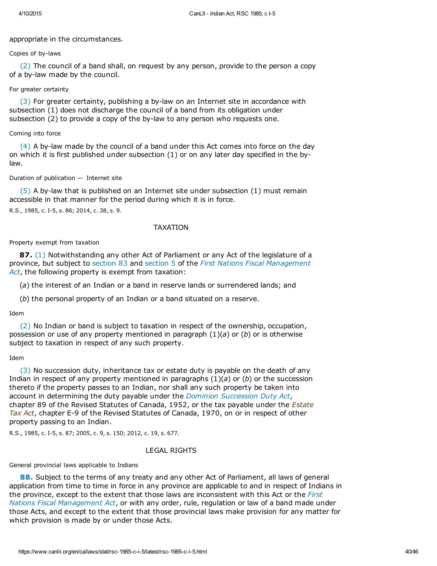appropriate in the circumstances.

Copies of by-laws

(2) The council of a band shall, on request by any person, provide to the person a copy of a by-law made by the council.

# For greater certainty

 $(3)$  For greater certainty, publishing a by-law on an Internet site in accordance with subsection (1) does not discharge the council of a band from its obligation under subsection (2) to provide a copy of the by-law to any person who requests one.

# Coming into force

 $(4)$  A by-law made by the council of a band under this Act comes into force on the day on which it is first published under subsection (1) or on any later day specified in the bylaw.

# Duration of publication — Internet site

 $(5)$  A by-law that is published on an Internet site under subsection (1) must remain accessible in that manner for the period during which it is in force.

R.S., 1985, c. I-5, s. 86; 2014, c. 38, s. 9.

# TAXATION

#### Property exempt from taxation

87. (1) Notwithstanding any other Act of Parliament or any Act of the legislature of a province, but subject to [section](https://www.canlii.org/en/ca/laws/stat/sc-2005-c-9/latest/sc-2005-c-9.html#sec83_smooth) 83 and [section](https://www.canlii.org/en/ca/laws/stat/sc-2005-c-9/latest/sc-2005-c-9.html#sec5_smooth) 5 of the *First Nations Fiscal [Management](https://www.canlii.org/en/ca/laws/stat/sc-2005-c-9/latest/sc-2005-c-9.html) Act*, the following property is exempt from taxation:

(*a*) the interest of an Indian or a band in reserve lands or surrendered lands; and

(*b*) the personal property of an Indian or a band situated on a reserve.

#### Idem

(2) No Indian or band is subject to taxation in respect of the ownership, occupation, possession or use of any property mentioned in paragraph (1)(*a*) or (*b*) or is otherwise subject to taxation in respect of any such property.

#### Idem

(3) No succession duty, inheritance tax or estate duty is payable on the death of any Indian in respect of any property mentioned in paragraphs (1)(*a*) or (*b*) or the succession thereto if the property passes to an Indian, nor shall any such property be taken into account in determining the duty payable under the *Dominion [Succession](https://www.canlii.org/en/ca/laws/stat/sc-1952-c-89/latest/sc-1952-c-89.html) Duty Act*, chapter 89 of the Revised Statutes of Canada, 1952, or the tax payable under the *Estate* Tax Act, chapter E-9 of the Revised Statutes of Canada, 1970, on or in respect of other property passing to an Indian.

R.S., 1985, c. I-5, s. 87; 2005, c. 9, s. 150; 2012, c. 19, s. 677.

# LEGAL RIGHTS

#### General provincial laws applicable to Indians

88. Subject to the terms of any treaty and any other Act of Parliament, all laws of general application from time to time in force in any province are applicable to and in respect of Indians in the province, except to the extent that those laws are inconsistent with this Act or the *First Nations Fiscal [Management](https://www.canlii.org/en/ca/laws/stat/sc-2005-c-9/latest/sc-2005-c-9.html) Act*, or with any order, rule, regulation or law of a band made under those Acts, and except to the extent that those provincial laws make provision for any matter for which provision is made by or under those Acts.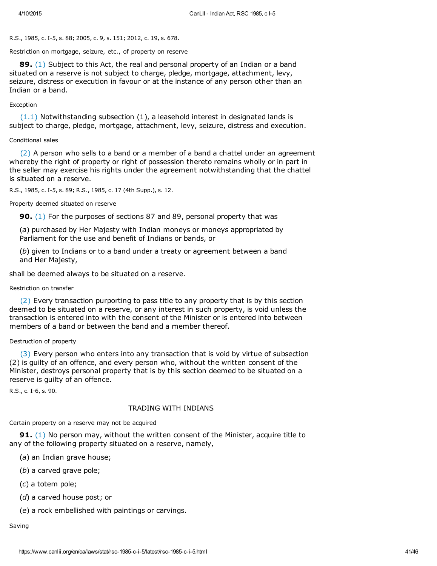R.S., 1985, c. I-5, s. 88; 2005, c. 9, s. 151; 2012, c. 19, s. 678.

Restriction on mortgage, seizure, etc., of property on reserve

89. (1) Subject to this Act, the real and personal property of an Indian or a band situated on a reserve is not subject to charge, pledge, mortgage, attachment, levy, seizure, distress or execution in favour or at the instance of any person other than an Indian or a band.

Exception

 $(1.1)$  Notwithstanding subsection  $(1)$ , a leasehold interest in designated lands is subject to charge, pledge, mortgage, attachment, levy, seizure, distress and execution.

#### Conditional sales

(2) A person who sells to a band or a member of a band a chattel under an agreement whereby the right of property or right of possession thereto remains wholly or in part in the seller may exercise his rights under the agreement notwithstanding that the chattel is situated on a reserve.

R.S., 1985, c. I-5, s. 89; R.S., 1985, c. 17 (4th Supp.), s. 12.

Property deemed situated on reserve

**90.** (1) For the purposes of sections 87 and 89, personal property that was

(*a*) purchased by Her Majesty with Indian moneys or moneys appropriated by Parliament for the use and benefit of Indians or bands, or

(*b*) given to Indians or to a band under a treaty or agreement between a band and Her Majesty,

shall be deemed always to be situated on a reserve.

Restriction on transfer

(2) Every transaction purporting to pass title to any property that is by this section deemed to be situated on a reserve, or any interest in such property, is void unless the transaction is entered into with the consent of the Minister or is entered into between members of a band or between the band and a member thereof.

#### Destruction of property

(3) Every person who enters into any transaction that is void by virtue of subsection (2) is guilty of an offence, and every person who, without the written consent of the Minister, destroys personal property that is by this section deemed to be situated on a reserve is guilty of an offence.

R.S., c. I-6, s. 90.

# TRADING WITH INDIANS

Certain property on a reserve may not be acquired

**91.** (1) No person may, without the written consent of the Minister, acquire title to any of the following property situated on a reserve, namely,

- (*a*) an Indian grave house;
- (*b*) a carved grave pole;
- (*c*) a totem pole;
- (*d*) a carved house post; or
- (*e*) a rock embellished with paintings or carvings.

Saving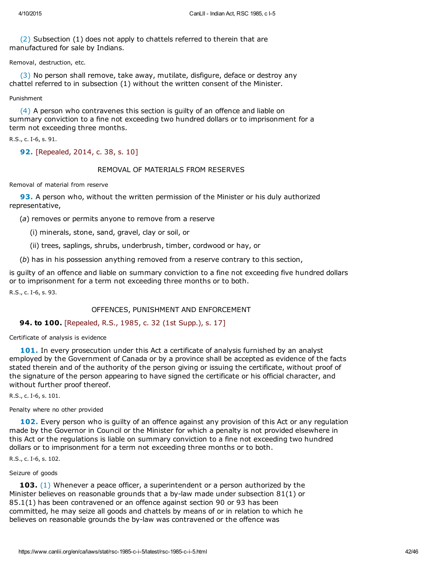(2) Subsection (1) does not apply to chattels referred to therein that are manufactured for sale by Indians.

Removal, destruction, etc.

(3) No person shall remove, take away, mutilate, disfigure, deface or destroy any chattel referred to in subsection (1) without the written consent of the Minister.

Punishment

(4) A person who contravenes this section is guilty of an offence and liable on summary conviction to a fine not exceeding two hundred dollars or to imprisonment for a term not exceeding three months.

R.S., c. I-6, s. 91.

#### 92. [Repealed, 2014, c. 38, s. 10]

# REMOVAL OF MATERIALS FROM RESERVES

Removal of material from reserve

93. A person who, without the written permission of the Minister or his duly authorized representative,

(*a*) removes or permits anyone to remove from a reserve

(i) minerals, stone, sand, gravel, clay or soil, or

(ii) trees, saplings, shrubs, underbrush, timber, cordwood or hay, or

(*b*) has in his possession anything removed from a reserve contrary to this section,

is guilty of an offence and liable on summary conviction to a fine not exceeding five hundred dollars or to imprisonment for a term not exceeding three months or to both.

R.S., c. I-6, s. 93.

# OFFENCES, PUNISHMENT AND ENFORCEMENT

# 94. to 100. [Repealed, R.S., 1985, c. 32 (1st Supp.), s. 17]

Certificate of analysis is evidence

101. In every prosecution under this Act a certificate of analysis furnished by an analyst employed by the Government of Canada or by a province shall be accepted as evidence of the facts stated therein and of the authority of the person giving or issuing the certificate, without proof of the signature of the person appearing to have signed the certificate or his official character, and without further proof thereof.

R.S., c. I-6, s. 101.

Penalty where no other provided

102. Every person who is quilty of an offence against any provision of this Act or any regulation made by the Governor in Council or the Minister for which a penalty is not provided elsewhere in this Act or the regulations is liable on summary conviction to a fine not exceeding two hundred dollars or to imprisonment for a term not exceeding three months or to both.

R.S., c. I-6, s. 102.

#### Seizure of goods

**103.** (1) Whenever a peace officer, a superintendent or a person authorized by the Minister believes on reasonable grounds that a by-law made under subsection  $81(1)$  or 85.1(1) has been contravened or an offence against section 90 or 93 has been committed, he may seize all goods and chattels by means of or in relation to which he believes on reasonable grounds the by-law was contravened or the offence was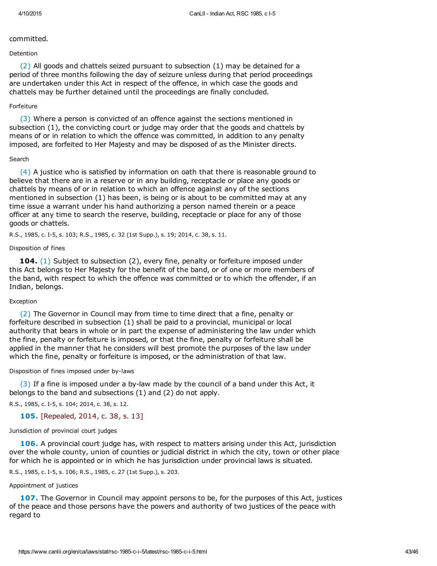#### committed.

#### Detention

(2) All goods and chattels seized pursuant to subsection (1) may be detained for a period of three months following the day of seizure unless during that period proceedings are undertaken under this Act in respect of the offence, in which case the goods and chattels may be further detained until the proceedings are finally concluded.

#### Forfeiture

(3) Where a person is convicted of an offence against the sections mentioned in subsection (1), the convicting court or judge may order that the goods and chattels by means of or in relation to which the offence was committed, in addition to any penalty imposed, are forfeited to Her Majesty and may be disposed of as the Minister directs.

#### Search

(4) A justice who is satisfied by information on oath that there is reasonable ground to believe that there are in a reserve or in any building, receptacle or place any goods or chattels by means of or in relation to which an offence against any of the sections mentioned in subsection (1) has been, is being or is about to be committed may at any time issue a warrant under his hand authorizing a person named therein or a peace officer at any time to search the reserve, building, receptacle or place for any of those goods or chattels.

R.S., 1985, c. I-5, s. 103; R.S., 1985, c. 32 (1st Supp.), s. 19; 2014, c. 38, s. 11.

# Disposition of fines

104. (1) Subject to subsection (2), every fine, penalty or forfeiture imposed under this Act belongs to Her Majesty for the benefit of the band, or of one or more members of the band, with respect to which the offence was committed or to which the offender, if an Indian, belongs.

#### Exception

(2) The Governor in Council may from time to time direct that a fine, penalty or forfeiture described in subsection (1) shall be paid to a provincial, municipal or local authority that bears in whole or in part the expense of administering the law under which the fine, penalty or forfeiture is imposed, or that the fine, penalty or forfeiture shall be applied in the manner that he considers will best promote the purposes of the law under which the fine, penalty or forfeiture is imposed, or the administration of that law.

#### Disposition of fines imposed under by-laws

 $(3)$  If a fine is imposed under a by-law made by the council of a band under this Act, it belongs to the band and subsections (1) and (2) do not apply.

R.S., 1985, c. I-5, s. 104; 2014, c. 38, s. 12.

105. [Repealed, 2014, c. 38, s. 13]

Jurisdiction of provincial court judges

106. A provincial court judge has, with respect to matters arising under this Act, jurisdiction over the whole county, union of counties or judicial district in which the city, town or other place for which he is appointed or in which he has jurisdiction under provincial laws is situated.

R.S., 1985, c. I-5, s. 106; R.S., 1985, c. 27 (1st Supp.), s. 203.

#### Appointment of justices

107. The Governor in Council may appoint persons to be, for the purposes of this Act, justices of the peace and those persons have the powers and authority of two justices of the peace with regard to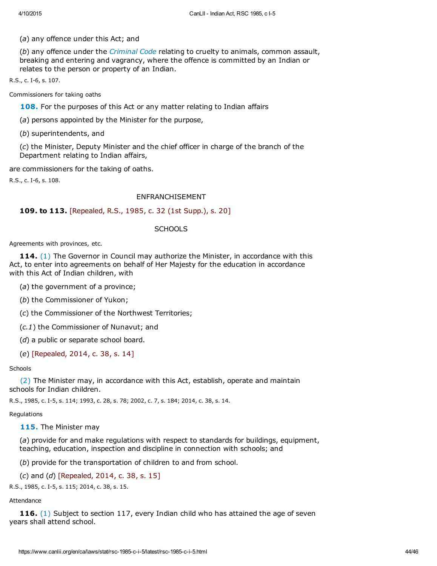(*a*) any offence under this Act; and

(*b*) any offence under the *[Criminal](https://www.canlii.org/en/ca/laws/stat/rsc-1985-c-c-46/latest/rsc-1985-c-c-46.html) Code* relating to cruelty to animals, common assault, breaking and entering and vagrancy, where the offence is committed by an Indian or relates to the person or property of an Indian.

R.S., c. I-6, s. 107.

Commissioners for taking oaths

**108.** For the purposes of this Act or any matter relating to Indian affairs

(*a*) persons appointed by the Minister for the purpose,

(*b*) superintendents, and

(*c*) the Minister, Deputy Minister and the chief officer in charge of the branch of the Department relating to Indian affairs,

are commissioners for the taking of oaths.

R.S., c. I-6, s. 108.

# ENFRANCHISEMENT

# 109. to 113. [Repealed, R.S., 1985, c. 32 (1st Supp.), s. 20]

# SCHOOLS

Agreements with provinces, etc.

114. (1) The Governor in Council may authorize the Minister, in accordance with this Act, to enter into agreements on behalf of Her Majesty for the education in accordance with this Act of Indian children, with

(*a*) the government of a province;

- (*b*) the Commissioner of Yukon;
- (*c*) the Commissioner of the Northwest Territories;
- (*c.1*) the Commissioner of Nunavut; and
- (*d*) a public or separate school board.
- (*e*) [Repealed, 2014, c. 38, s. 14]

# **Schools**

(2) The Minister may, in accordance with this Act, establish, operate and maintain schools for Indian children.

R.S., 1985, c. I5, s. 114; 1993, c. 28, s. 78; 2002, c. 7, s. 184; 2014, c. 38, s. 14.

**Regulations** 

115. The Minister may

(*a*) provide for and make regulations with respect to standards for buildings, equipment, teaching, education, inspection and discipline in connection with schools; and

(*b*) provide for the transportation of children to and from school.

(*c*) and (*d*) [Repealed, 2014, c. 38, s. 15]

R.S., 1985, c. I-5, s. 115; 2014, c. 38, s. 15.

# Attendance

116. (1) Subject to section 117, every Indian child who has attained the age of seven years shall attend school.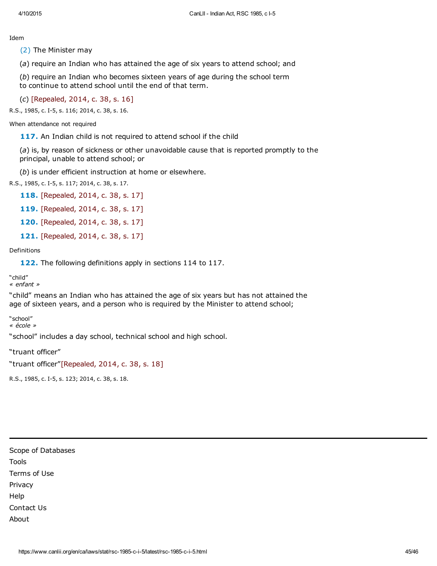Idem

(2) The Minister may

(*a*) require an Indian who has attained the age of six years to attend school; and

(*b*) require an Indian who becomes sixteen years of age during the school term to continue to attend school until the end of that term.

(*c*) [Repealed, 2014, c. 38, s. 16]

R.S., 1985, c. I-5, s. 116; 2014, c. 38, s. 16.

```
When attendance not required
```
117. An Indian child is not required to attend school if the child

(*a*) is, by reason of sickness or other unavoidable cause that is reported promptly to the principal, unable to attend school; or

(*b*) is under efficient instruction at home or elsewhere.

R.S., 1985, c. I-5, s. 117; 2014, c. 38, s. 17.

- 118. [Repealed, 2014, c. 38, s. 17]
- 119. [Repealed, 2014, c. 38, s. 17]
- 120. [Repealed, 2014, c. 38, s. 17]
- 121. [Repealed, 2014, c. 38, s. 17]

# Definitions

122. The following definitions apply in sections 114 to 117.

"child"

*« enfant »*

"child" means an Indian who has attained the age of six years but has not attained the age of sixteen years, and a person who is required by the Minister to attend school;

```
"school"
« école »
```
"school" includes a day school, technical school and high school.

"truant officer"

```
"truant officer"[Repealed, 2014, c. 38, s. 18]
```
R.S., 1985, c. I-5, s. 123; 2014, c. 38, s. 18.

| Scope of Databases |
|--------------------|
| <b>Tools</b>       |
| Terms of Use       |
| Privacy            |
| Help               |
| Contact Us         |
| About              |